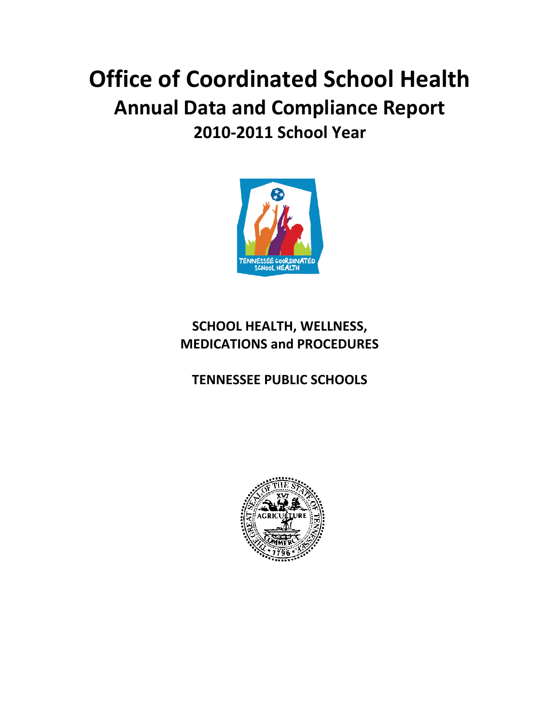# **Office of Coordinated School Health Annual Data and Compliance Report 2010-2011 School Year**



# **SCHOOL HEALTH, WELLNESS, MEDICATIONS and PROCEDURES**

# **TENNESSEE PUBLIC SCHOOLS**

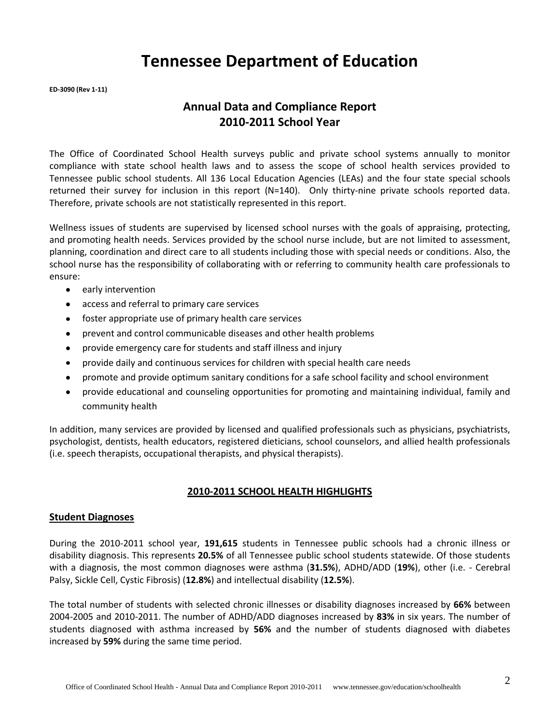# **Tennessee Department of Education**

**ED-3090 (Rev 1-11)**

# **Annual Data and Compliance Report 2010-2011 School Year**

The Office of Coordinated School Health surveys public and private school systems annually to monitor compliance with state school health laws and to assess the scope of school health services provided to Tennessee public school students. All 136 Local Education Agencies (LEAs) and the four state special schools returned their survey for inclusion in this report (N=140). Only thirty-nine private schools reported data. Therefore, private schools are not statistically represented in this report.

Wellness issues of students are supervised by licensed school nurses with the goals of appraising, protecting, and promoting health needs. Services provided by the school nurse include, but are not limited to assessment, planning, coordination and direct care to all students including those with special needs or conditions. Also, the school nurse has the responsibility of collaborating with or referring to community health care professionals to ensure:

- early intervention
- access and referral to primary care services
- foster appropriate use of primary health care services
- prevent and control communicable diseases and other health problems  $\bullet$
- provide emergency care for students and staff illness and injury
- provide daily and continuous services for children with special health care needs  $\bullet$
- promote and provide optimum sanitary conditions for a safe school facility and school environment
- provide educational and counseling opportunities for promoting and maintaining individual, family and community health

In addition, many services are provided by licensed and qualified professionals such as physicians, psychiatrists, psychologist, dentists, health educators, registered dieticians, school counselors, and allied health professionals (i.e. speech therapists, occupational therapists, and physical therapists).

#### **2010-2011 SCHOOL HEALTH HIGHLIGHTS**

#### **Student Diagnoses**

During the 2010-2011 school year, **191,615** students in Tennessee public schools had a chronic illness or disability diagnosis. This represents **20.5%** of all Tennessee public school students statewide. Of those students with a diagnosis, the most common diagnoses were asthma (**31.5%**), ADHD/ADD (**19%**), other (i.e. - Cerebral Palsy, Sickle Cell, Cystic Fibrosis) (**12.8%**) and intellectual disability (**12.5%**).

The total number of students with selected chronic illnesses or disability diagnoses increased by **66%** between 2004-2005 and 2010-2011. The number of ADHD/ADD diagnoses increased by **83%** in six years. The number of students diagnosed with asthma increased by **56%** and the number of students diagnosed with diabetes increased by **59%** during the same time period.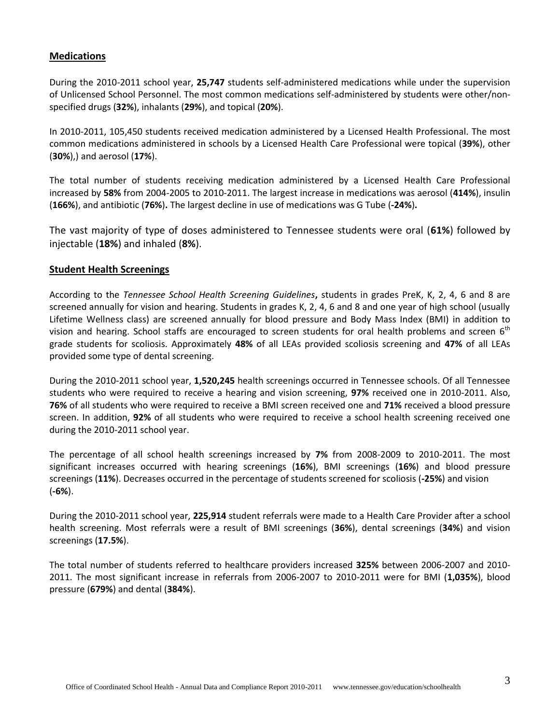#### **Medications**

During the 2010-2011 school year, **25,747** students self-administered medications while under the supervision of Unlicensed School Personnel. The most common medications self-administered by students were other/nonspecified drugs (**32%**), inhalants (**29%**), and topical (**20%**).

In 2010-2011, 105,450 students received medication administered by a Licensed Health Professional. The most common medications administered in schools by a Licensed Health Care Professional were topical (**39%**), other (**30%**),) and aerosol (**17%**).

The total number of students receiving medication administered by a Licensed Health Care Professional increased by **58%** from 2004-2005 to 2010-2011. The largest increase in medications was aerosol (**414%**), insulin (**166%**), and antibiotic (**76%**)**.** The largest decline in use of medications was G Tube (**-24%**)**.**

The vast majority of type of doses administered to Tennessee students were oral (**61%**) followed by injectable (**18%**) and inhaled (**8%**).

#### **Student Health Screenings**

According to the *Tennessee School Health Screening Guidelines***,** students in grades PreK, K, 2, 4, 6 and 8 are screened annually for vision and hearing. Students in grades K, 2, 4, 6 and 8 and one year of high school (usually Lifetime Wellness class) are screened annually for blood pressure and Body Mass Index (BMI) in addition to vision and hearing. School staffs are encouraged to screen students for oral health problems and screen 6<sup>th</sup> grade students for scoliosis. Approximately **48%** of all LEAs provided scoliosis screening and **47%** of all LEAs provided some type of dental screening.

During the 2010-2011 school year, **1,520,245** health screenings occurred in Tennessee schools. Of all Tennessee students who were required to receive a hearing and vision screening, **97%** received one in 2010-2011. Also, **76%** of all students who were required to receive a BMI screen received one and **71%** received a blood pressure screen. In addition, **92%** of all students who were required to receive a school health screening received one during the 2010-2011 school year.

The percentage of all school health screenings increased by **7%** from 2008-2009 to 2010-2011. The most significant increases occurred with hearing screenings (**16%**), BMI screenings (**16%**) and blood pressure screenings (**11%**). Decreases occurred in the percentage of students screened for scoliosis (**-25%**) and vision (**-6%**).

During the 2010-2011 school year, **225,914** student referrals were made to a Health Care Provider after a school health screening. Most referrals were a result of BMI screenings (**36%**), dental screenings (**34%**) and vision screenings (**17.5%**).

The total number of students referred to healthcare providers increased **325%** between 2006-2007 and 2010- 2011. The most significant increase in referrals from 2006-2007 to 2010-2011 were for BMI (**1,035%**), blood pressure (**679%**) and dental (**384%**).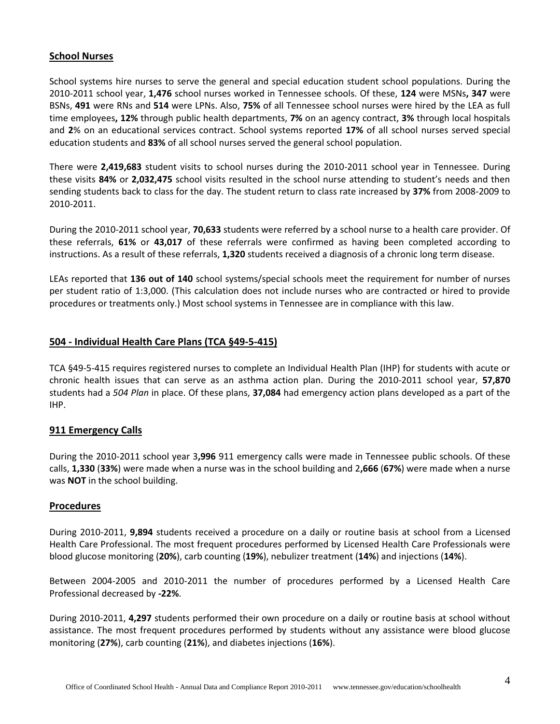#### **School Nurses**

School systems hire nurses to serve the general and special education student school populations. During the 2010-2011 school year, **1,476** school nurses worked in Tennessee schools. Of these, **124** were MSNs**, 347** were BSNs, **491** were RNs and **514** were LPNs. Also, **75%** of all Tennessee school nurses were hired by the LEA as full time employees**, 12%** through public health departments, **7%** on an agency contract, **3%** through local hospitals and **2**% on an educational services contract. School systems reported **17%** of all school nurses served special education students and **83%** of all school nurses served the general school population.

There were **2,419,683** student visits to school nurses during the 2010-2011 school year in Tennessee. During these visits **84%** or **2,032,475** school visits resulted in the school nurse attending to student's needs and then sending students back to class for the day. The student return to class rate increased by **37%** from 2008-2009 to 2010-2011.

During the 2010-2011 school year, **70,633** students were referred by a school nurse to a health care provider. Of these referrals, **61%** or **43,017** of these referrals were confirmed as having been completed according to instructions. As a result of these referrals, **1,320** students received a diagnosis of a chronic long term disease.

LEAs reported that **136 out of 140** school systems/special schools meet the requirement for number of nurses per student ratio of 1:3,000. (This calculation does not include nurses who are contracted or hired to provide procedures or treatments only.) Most school systems in Tennessee are in compliance with this law.

#### **504 - Individual Health Care Plans (TCA §49-5-415)**

TCA §49-5-415 requires registered nurses to complete an Individual Health Plan (IHP) for students with acute or chronic health issues that can serve as an asthma action plan. During the 2010-2011 school year, **57,870** students had a *504 Plan* in place. Of these plans, **37,084** had emergency action plans developed as a part of the IHP.

#### **911 Emergency Calls**

During the 2010-2011 school year 3**,996** 911 emergency calls were made in Tennessee public schools. Of these calls, **1,330** (**33%**) were made when a nurse was in the school building and 2**,666** (**67%**) were made when a nurse was **NOT** in the school building.

#### **Procedures**

During 2010-2011, **9,894** students received a procedure on a daily or routine basis at school from a Licensed Health Care Professional. The most frequent procedures performed by Licensed Health Care Professionals were blood glucose monitoring (**20%**), carb counting (**19%**), nebulizer treatment (**14%**) and injections (**14%**).

Between 2004-2005 and 2010-2011 the number of procedures performed by a Licensed Health Care Professional decreased by **-22%**.

During 2010-2011, **4,297** students performed their own procedure on a daily or routine basis at school without assistance. The most frequent procedures performed by students without any assistance were blood glucose monitoring (**27%**), carb counting (**21%**), and diabetes injections (**16%**).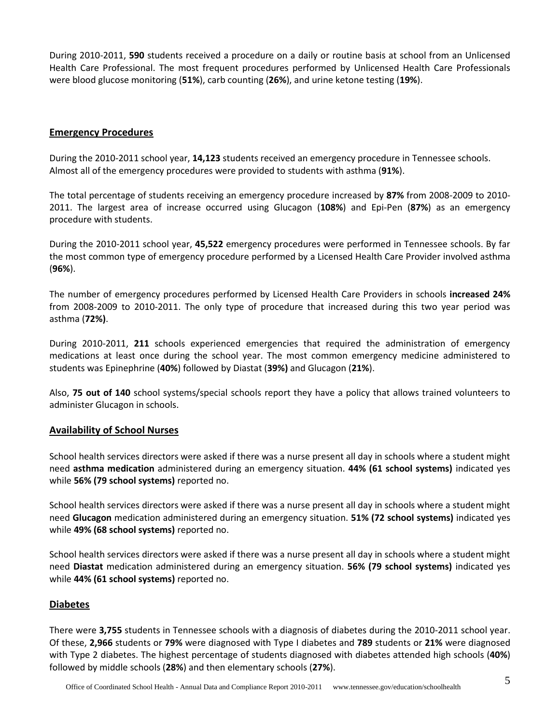During 2010-2011, **590** students received a procedure on a daily or routine basis at school from an Unlicensed Health Care Professional. The most frequent procedures performed by Unlicensed Health Care Professionals were blood glucose monitoring (**51%**), carb counting (**26%**), and urine ketone testing (**19%**).

#### **Emergency Procedures**

During the 2010-2011 school year, **14,123** students received an emergency procedure in Tennessee schools. Almost all of the emergency procedures were provided to students with asthma (**91%**).

The total percentage of students receiving an emergency procedure increased by **87%** from 2008-2009 to 2010- 2011. The largest area of increase occurred using Glucagon (**108%**) and Epi-Pen (**87%**) as an emergency procedure with students.

During the 2010-2011 school year, **45,522** emergency procedures were performed in Tennessee schools. By far the most common type of emergency procedure performed by a Licensed Health Care Provider involved asthma (**96%**).

The number of emergency procedures performed by Licensed Health Care Providers in schools **increased 24%** from 2008-2009 to 2010-2011. The only type of procedure that increased during this two year period was asthma (**72%)**.

During 2010-2011, **211** schools experienced emergencies that required the administration of emergency medications at least once during the school year. The most common emergency medicine administered to students was Epinephrine (**40%**) followed by Diastat (**39%)** and Glucagon (**21%**).

Also, **75 out of 140** school systems/special schools report they have a policy that allows trained volunteers to administer Glucagon in schools.

#### **Availability of School Nurses**

School health services directors were asked if there was a nurse present all day in schools where a student might need **asthma medication** administered during an emergency situation. **44% (61 school systems)** indicated yes while **56% (79 school systems)** reported no.

School health services directors were asked if there was a nurse present all day in schools where a student might need **Glucagon** medication administered during an emergency situation. **51% (72 school systems)** indicated yes while **49% (68 school systems)** reported no.

School health services directors were asked if there was a nurse present all day in schools where a student might need **Diastat** medication administered during an emergency situation. **56% (79 school systems)** indicated yes while **44% (61 school systems)** reported no.

#### **Diabetes**

There were **3,755** students in Tennessee schools with a diagnosis of diabetes during the 2010-2011 school year. Of these, **2,966** students or **79%** were diagnosed with Type I diabetes and **789** students or **21%** were diagnosed with Type 2 diabetes. The highest percentage of students diagnosed with diabetes attended high schools (**40%**) followed by middle schools (**28%**) and then elementary schools (**27%**).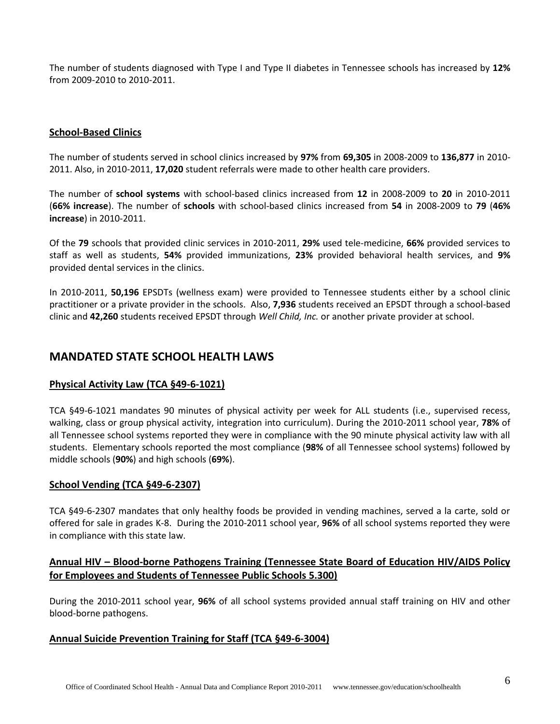The number of students diagnosed with Type I and Type II diabetes in Tennessee schools has increased by **12%** from 2009-2010 to 2010-2011.

#### **School-Based Clinics**

The number of students served in school clinics increased by **97%** from **69,305** in 2008-2009 to **136,877** in 2010- 2011. Also, in 2010-2011, **17,020** student referrals were made to other health care providers.

The number of **school systems** with school-based clinics increased from **12** in 2008-2009 to **20** in 2010-2011 (**66% increase**). The number of **schools** with school-based clinics increased from **54** in 2008-2009 to **79** (**46% increase**) in 2010-2011.

Of the **79** schools that provided clinic services in 2010-2011, **29%** used tele-medicine, **66%** provided services to staff as well as students, **54%** provided immunizations, **23%** provided behavioral health services, and **9%** provided dental services in the clinics.

In 2010-2011, **50,196** EPSDTs (wellness exam) were provided to Tennessee students either by a school clinic practitioner or a private provider in the schools. Also, **7,936** students received an EPSDT through a school-based clinic and **42,260** students received EPSDT through *Well Child, Inc.* or another private provider at school.

# **MANDATED STATE SCHOOL HEALTH LAWS**

#### **Physical Activity Law (TCA §49-6-1021)**

TCA §49-6-1021 mandates 90 minutes of physical activity per week for ALL students (i.e., supervised recess, walking, class or group physical activity, integration into curriculum). During the 2010-2011 school year, **78%** of all Tennessee school systems reported they were in compliance with the 90 minute physical activity law with all students. Elementary schools reported the most compliance (**98%** of all Tennessee school systems) followed by middle schools (**90%**) and high schools (**69%**).

#### **School Vending (TCA §49-6-2307)**

TCA §49-6-2307 mandates that only healthy foods be provided in vending machines, served a la carte, sold or offered for sale in grades K-8. During the 2010-2011 school year, **96%** of all school systems reported they were in compliance with this state law.

#### **Annual HIV – Blood-borne Pathogens Training (Tennessee State Board of Education HIV/AIDS Policy for Employees and Students of Tennessee Public Schools 5.300)**

During the 2010-2011 school year, **96%** of all school systems provided annual staff training on HIV and other blood-borne pathogens.

#### **Annual Suicide Prevention Training for Staff (TCA §49-6-3004)**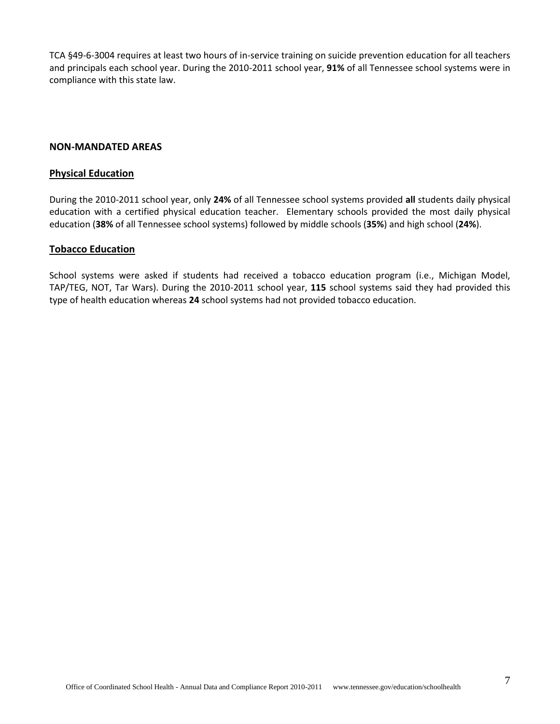TCA §49-6-3004 requires at least two hours of in-service training on suicide prevention education for all teachers and principals each school year. During the 2010-2011 school year, **91%** of all Tennessee school systems were in compliance with this state law.

#### **NON-MANDATED AREAS**

#### **Physical Education**

During the 2010-2011 school year, only **24%** of all Tennessee school systems provided **all** students daily physical education with a certified physical education teacher. Elementary schools provided the most daily physical education (**38%** of all Tennessee school systems) followed by middle schools (**35%**) and high school (**24%**).

#### **Tobacco Education**

School systems were asked if students had received a tobacco education program (i.e., Michigan Model, TAP/TEG, NOT, Tar Wars). During the 2010-2011 school year, **115** school systems said they had provided this type of health education whereas **24** school systems had not provided tobacco education.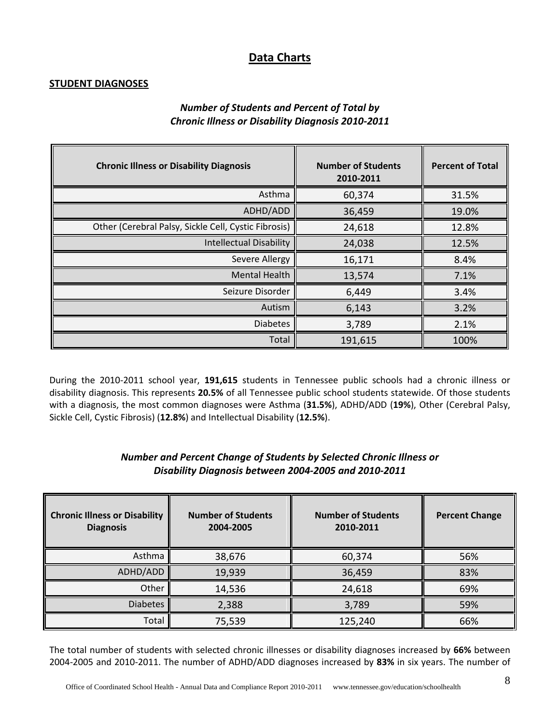# **Data Charts**

#### **STUDENT DIAGNOSES**

# *Number of Students and Percent of Total by Chronic Illness or Disability Diagnosis 2010-2011*

| <b>Chronic Illness or Disability Diagnosis</b>       | <b>Number of Students</b><br>2010-2011 | <b>Percent of Total</b> |
|------------------------------------------------------|----------------------------------------|-------------------------|
| Asthma                                               | 60,374                                 | 31.5%                   |
| ADHD/ADD                                             | 36,459                                 | 19.0%                   |
| Other (Cerebral Palsy, Sickle Cell, Cystic Fibrosis) | 24,618                                 | 12.8%                   |
| <b>Intellectual Disability</b>                       | 24,038                                 | 12.5%                   |
| Severe Allergy                                       | 16,171                                 | 8.4%                    |
| <b>Mental Health</b>                                 | 13,574                                 | 7.1%                    |
| Seizure Disorder                                     | 6,449                                  | 3.4%                    |
| Autism                                               | 6,143                                  | 3.2%                    |
| <b>Diabetes</b>                                      | 3,789                                  | 2.1%                    |
| Total                                                | 191,615                                | 100%                    |

During the 2010-2011 school year, **191,615** students in Tennessee public schools had a chronic illness or disability diagnosis. This represents **20.5%** of all Tennessee public school students statewide. Of those students with a diagnosis, the most common diagnoses were Asthma (**31.5%**), ADHD/ADD (**19%**), Other (Cerebral Palsy, Sickle Cell, Cystic Fibrosis) (**12.8%**) and Intellectual Disability (**12.5%**).

#### *Number and Percent Change of Students by Selected Chronic Illness or Disability Diagnosis between 2004-2005 and 2010-2011*

| <b>Chronic Illness or Disability</b><br><b>Diagnosis</b> | <b>Number of Students</b><br>2004-2005 | <b>Number of Students</b><br>2010-2011 | <b>Percent Change</b> |
|----------------------------------------------------------|----------------------------------------|----------------------------------------|-----------------------|
| Asthma                                                   | 38,676                                 | 60,374                                 | 56%                   |
| ADHD/ADD                                                 | 19,939                                 | 36,459                                 | 83%                   |
| Other                                                    | 14,536                                 | 24,618                                 | 69%                   |
| <b>Diabetes</b>                                          | 2,388                                  | 3,789                                  | 59%                   |
| Total                                                    | 75,539                                 | 125,240                                | 66%                   |

The total number of students with selected chronic illnesses or disability diagnoses increased by **66%** between 2004-2005 and 2010-2011. The number of ADHD/ADD diagnoses increased by **83%** in six years. The number of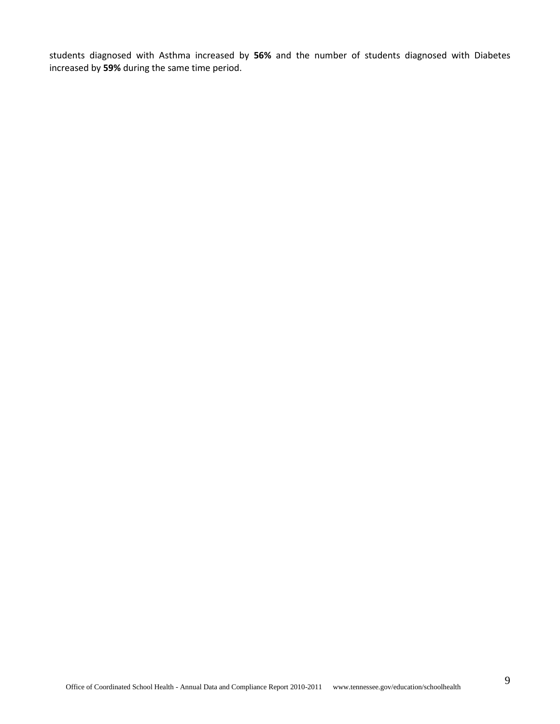students diagnosed with Asthma increased by **56%** and the number of students diagnosed with Diabetes increased by **59%** during the same time period.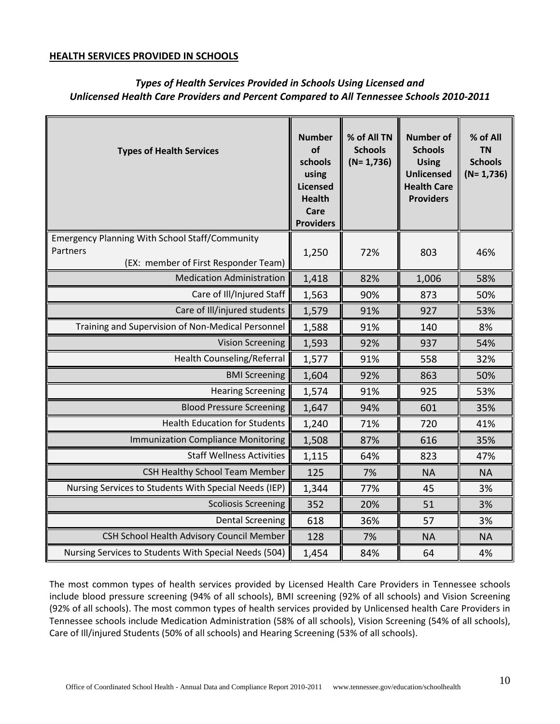#### **HEALTH SERVICES PROVIDED IN SCHOOLS**

| <b>Types of Health Services</b>                       | <b>Number</b><br>of<br>schools<br>using<br>Licensed<br><b>Health</b><br>Care<br><b>Providers</b> | % of All TN<br><b>Schools</b><br>$(N=1,736)$ | <b>Number of</b><br><b>Schools</b><br><b>Using</b><br>Unlicensed<br><b>Health Care</b><br><b>Providers</b> | % of All<br><b>TN</b><br><b>Schools</b><br>$(N=1,736)$ |
|-------------------------------------------------------|--------------------------------------------------------------------------------------------------|----------------------------------------------|------------------------------------------------------------------------------------------------------------|--------------------------------------------------------|
| <b>Emergency Planning With School Staff/Community</b> |                                                                                                  |                                              |                                                                                                            |                                                        |
| Partners<br>(EX: member of First Responder Team)      | 1,250                                                                                            | 72%                                          | 803                                                                                                        | 46%                                                    |
| <b>Medication Administration</b>                      | 1,418                                                                                            | 82%                                          | 1,006                                                                                                      | 58%                                                    |
| Care of Ill/Injured Staff                             | 1,563                                                                                            | 90%                                          | 873                                                                                                        | 50%                                                    |
| Care of Ill/injured students                          | 1,579                                                                                            | 91%                                          | 927                                                                                                        | 53%                                                    |
| Training and Supervision of Non-Medical Personnel     | 1,588                                                                                            | 91%                                          | 140                                                                                                        | 8%                                                     |
| <b>Vision Screening</b>                               | 1,593                                                                                            | 92%                                          | 937                                                                                                        | 54%                                                    |
| <b>Health Counseling/Referral</b>                     | 1,577                                                                                            | 91%                                          | 558                                                                                                        | 32%                                                    |
| <b>BMI Screening</b>                                  | 1,604                                                                                            | 92%                                          | 863                                                                                                        | 50%                                                    |
| <b>Hearing Screening</b>                              | 1,574                                                                                            | 91%                                          | 925                                                                                                        | 53%                                                    |
| <b>Blood Pressure Screening</b>                       | 1,647                                                                                            | 94%                                          | 601                                                                                                        | 35%                                                    |
| <b>Health Education for Students</b>                  | 1,240                                                                                            | 71%                                          | 720                                                                                                        | 41%                                                    |
| <b>Immunization Compliance Monitoring</b>             | 1,508                                                                                            | 87%                                          | 616                                                                                                        | 35%                                                    |
| <b>Staff Wellness Activities</b>                      | 1,115                                                                                            | 64%                                          | 823                                                                                                        | 47%                                                    |
| <b>CSH Healthy School Team Member</b>                 | 125                                                                                              | 7%                                           | <b>NA</b>                                                                                                  | <b>NA</b>                                              |
| Nursing Services to Students With Special Needs (IEP) | 1,344                                                                                            | 77%                                          | 45                                                                                                         | 3%                                                     |
| <b>Scoliosis Screening</b>                            | 352                                                                                              | 20%                                          | 51                                                                                                         | 3%                                                     |
| <b>Dental Screening</b>                               | 618                                                                                              | 36%                                          | 57                                                                                                         | 3%                                                     |
| CSH School Health Advisory Council Member             | 128                                                                                              | 7%                                           | <b>NA</b>                                                                                                  | <b>NA</b>                                              |
| Nursing Services to Students With Special Needs (504) | 1,454                                                                                            | 84%                                          | 64                                                                                                         | 4%                                                     |

# *Types of Health Services Provided in Schools Using Licensed and Unlicensed Health Care Providers and Percent Compared to All Tennessee Schools 2010-2011*

The most common types of health services provided by Licensed Health Care Providers in Tennessee schools include blood pressure screening (94% of all schools), BMI screening (92% of all schools) and Vision Screening (92% of all schools). The most common types of health services provided by Unlicensed health Care Providers in Tennessee schools include Medication Administration (58% of all schools), Vision Screening (54% of all schools), Care of Ill/injured Students (50% of all schools) and Hearing Screening (53% of all schools).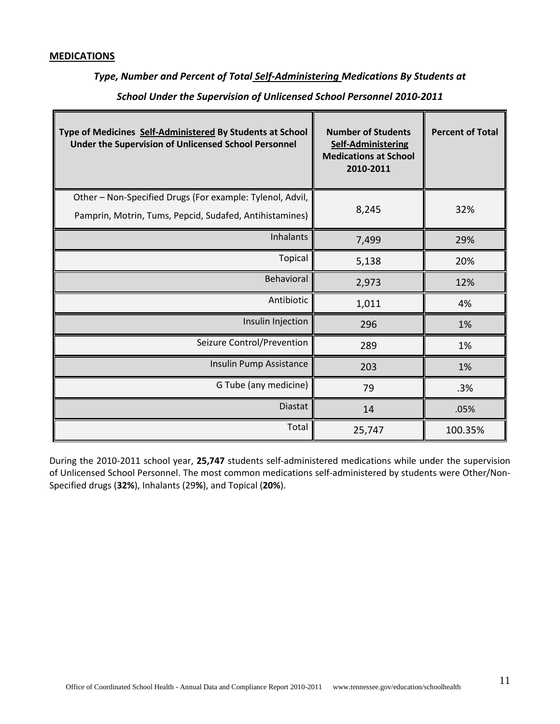#### **MEDICATIONS**

# *Type, Number and Percent of Total Self-Administering Medications By Students at*

| Type of Medicines Self-Administered By Students at School<br>Under the Supervision of Unlicensed School Personnel | <b>Number of Students</b><br><b>Self-Administering</b><br><b>Medications at School</b><br>2010-2011 | <b>Percent of Total</b> |
|-------------------------------------------------------------------------------------------------------------------|-----------------------------------------------------------------------------------------------------|-------------------------|
| Other - Non-Specified Drugs (For example: Tylenol, Advil,                                                         |                                                                                                     |                         |
| Pamprin, Motrin, Tums, Pepcid, Sudafed, Antihistamines)                                                           | 8,245                                                                                               | 32%                     |
| <b>Inhalants</b>                                                                                                  | 7,499                                                                                               | 29%                     |
| <b>Topical</b>                                                                                                    | 5,138                                                                                               | 20%                     |
| <b>Behavioral</b>                                                                                                 | 2,973                                                                                               | 12%                     |
| Antibiotic                                                                                                        | 1,011                                                                                               | 4%                      |
| Insulin Injection                                                                                                 | 296                                                                                                 | 1%                      |
| Seizure Control/Prevention                                                                                        | 289                                                                                                 | 1%                      |
| Insulin Pump Assistance                                                                                           | 203                                                                                                 | 1%                      |
| G Tube (any medicine)                                                                                             | 79                                                                                                  | .3%                     |
| <b>Diastat</b>                                                                                                    | 14                                                                                                  | .05%                    |
| Total                                                                                                             | 25,747                                                                                              | 100.35%                 |

*School Under the Supervision of Unlicensed School Personnel 2010-2011*

During the 2010-2011 school year, **25,747** students self-administered medications while under the supervision of Unlicensed School Personnel. The most common medications self-administered by students were Other/Non-Specified drugs (**32%**), Inhalants (29**%**), and Topical (**20%**).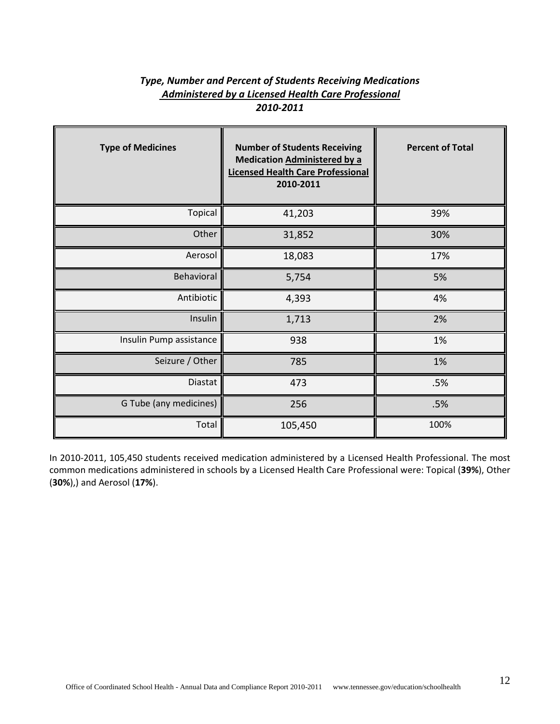# *Type, Number and Percent of Students Receiving Medications Administered by a Licensed Health Care Professional 2010-2011*

| <b>Type of Medicines</b> | <b>Number of Students Receiving</b><br><b>Medication Administered by a</b><br><b>Licensed Health Care Professional</b><br>2010-2011 | <b>Percent of Total</b> |
|--------------------------|-------------------------------------------------------------------------------------------------------------------------------------|-------------------------|
| Topical                  | 41,203                                                                                                                              | 39%                     |
| Other                    | 31,852                                                                                                                              | 30%                     |
| Aerosol                  | 18,083                                                                                                                              | 17%                     |
| Behavioral               | 5,754                                                                                                                               | 5%                      |
| Antibiotic               | 4,393                                                                                                                               | 4%                      |
| Insulin                  | 1,713                                                                                                                               | 2%                      |
| Insulin Pump assistance  | 938                                                                                                                                 | 1%                      |
| Seizure / Other          | 785                                                                                                                                 | 1%                      |
| Diastat                  | 473                                                                                                                                 | .5%                     |
| G Tube (any medicines)   | 256                                                                                                                                 | .5%                     |
| Total                    | 105,450                                                                                                                             | 100%                    |

In 2010-2011, 105,450 students received medication administered by a Licensed Health Professional. The most common medications administered in schools by a Licensed Health Care Professional were: Topical (**39%**), Other (**30%**),) and Aerosol (**17%**).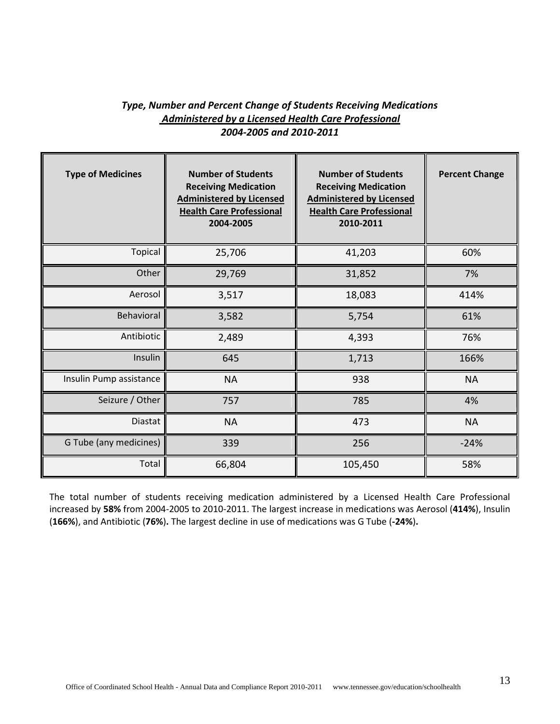# *Type, Number and Percent Change of Students Receiving Medications Administered by a Licensed Health Care Professional 2004-2005 and 2010-2011*

| <b>Type of Medicines</b> | <b>Number of Students</b><br><b>Receiving Medication</b><br><b>Administered by Licensed</b><br><b>Health Care Professional</b><br>2004-2005 | <b>Number of Students</b><br><b>Receiving Medication</b><br><b>Administered by Licensed</b><br><b>Health Care Professional</b><br>2010-2011 | <b>Percent Change</b> |
|--------------------------|---------------------------------------------------------------------------------------------------------------------------------------------|---------------------------------------------------------------------------------------------------------------------------------------------|-----------------------|
| Topical                  | 25,706                                                                                                                                      | 41,203                                                                                                                                      | 60%                   |
| Other                    | 29,769                                                                                                                                      | 31,852                                                                                                                                      | 7%                    |
| Aerosol                  | 3,517                                                                                                                                       | 18,083                                                                                                                                      | 414%                  |
| Behavioral               | 3,582                                                                                                                                       | 5,754                                                                                                                                       | 61%                   |
| Antibiotic               | 2,489                                                                                                                                       | 4,393                                                                                                                                       | 76%                   |
| Insulin                  | 645                                                                                                                                         | 1,713                                                                                                                                       | 166%                  |
| Insulin Pump assistance  | <b>NA</b>                                                                                                                                   | 938                                                                                                                                         | <b>NA</b>             |
| Seizure / Other          | 757                                                                                                                                         | 785                                                                                                                                         | 4%                    |
| Diastat                  | <b>NA</b>                                                                                                                                   | 473                                                                                                                                         | <b>NA</b>             |
| G Tube (any medicines)   | 339                                                                                                                                         | 256                                                                                                                                         | $-24%$                |
| Total                    | 66,804                                                                                                                                      | 105,450                                                                                                                                     | 58%                   |

The total number of students receiving medication administered by a Licensed Health Care Professional increased by **58%** from 2004-2005 to 2010-2011. The largest increase in medications was Aerosol (**414%**), Insulin (**166%**), and Antibiotic (**76%**)**.** The largest decline in use of medications was G Tube (**-24%**)**.**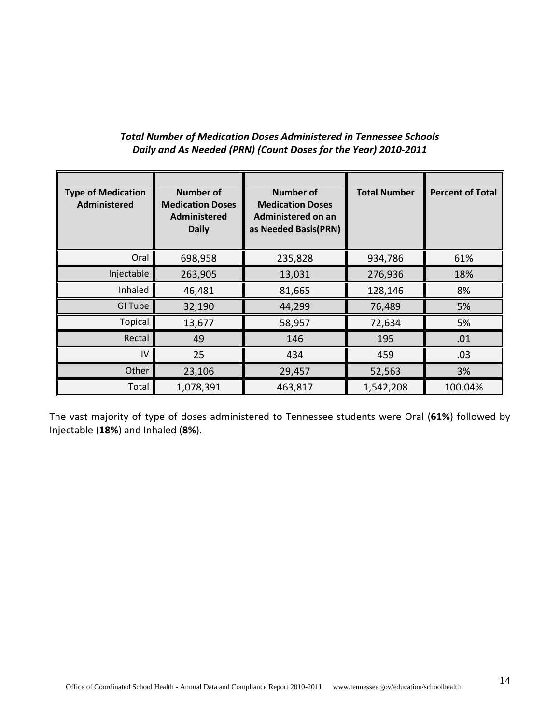# *Total Number of Medication Doses Administered in Tennessee Schools Daily and As Needed (PRN) (Count Doses for the Year) 2010-2011*

| <b>Type of Medication</b><br>Administered | <b>Number of</b><br><b>Medication Doses</b><br>Administered<br><b>Daily</b> | Number of<br><b>Medication Doses</b><br>Administered on an<br>as Needed Basis(PRN) | <b>Total Number</b> | <b>Percent of Total</b> |
|-------------------------------------------|-----------------------------------------------------------------------------|------------------------------------------------------------------------------------|---------------------|-------------------------|
| Oral                                      | 698,958                                                                     | 235,828                                                                            | 934,786             | 61%                     |
| Injectable                                | 263,905                                                                     | 13,031                                                                             | 276,936             | 18%                     |
| Inhaled                                   | 46,481                                                                      | 81,665                                                                             | 128,146             | 8%                      |
| GI Tube                                   | 32,190                                                                      | 44,299                                                                             | 76,489              | 5%                      |
| <b>Topical</b>                            | 13,677                                                                      | 58,957                                                                             | 72,634              | 5%                      |
| Rectal                                    | 49                                                                          | 146                                                                                | 195                 | .01                     |
| IV                                        | 25                                                                          | 434                                                                                | 459                 | .03                     |
| Other                                     | 23,106                                                                      | 29,457                                                                             | 52,563              | 3%                      |
| Total                                     | 1,078,391                                                                   | 463,817                                                                            | 1,542,208           | 100.04%                 |

The vast majority of type of doses administered to Tennessee students were Oral (**61%**) followed by Injectable (**18%**) and Inhaled (**8%**).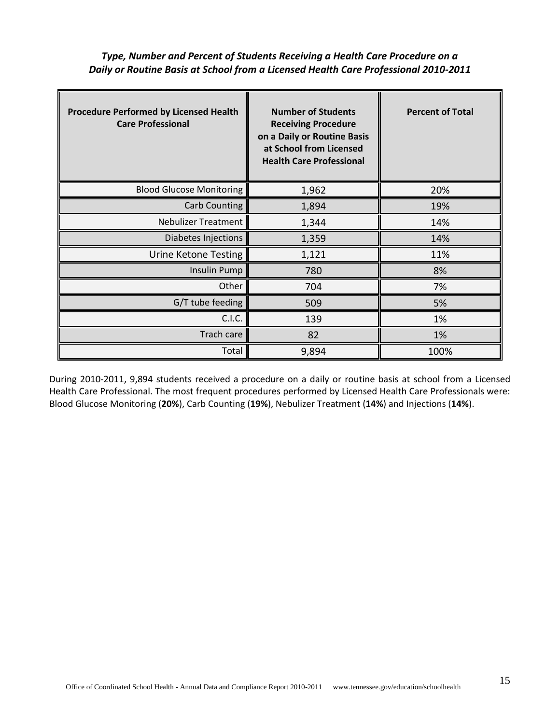*Type, Number and Percent of Students Receiving a Health Care Procedure on a Daily or Routine Basis at School from a Licensed Health Care Professional 2010-2011*

| <b>Procedure Performed by Licensed Health</b><br><b>Care Professional</b> | <b>Number of Students</b><br><b>Receiving Procedure</b><br>on a Daily or Routine Basis<br>at School from Licensed<br><b>Health Care Professional</b> | <b>Percent of Total</b> |
|---------------------------------------------------------------------------|------------------------------------------------------------------------------------------------------------------------------------------------------|-------------------------|
| <b>Blood Glucose Monitoring</b>                                           | 1,962                                                                                                                                                | 20%                     |
| <b>Carb Counting</b>                                                      | 1,894                                                                                                                                                | 19%                     |
| <b>Nebulizer Treatment</b>                                                | 1,344                                                                                                                                                | 14%                     |
| Diabetes Injections                                                       | 1,359                                                                                                                                                | 14%                     |
| Urine Ketone Testing                                                      | 1,121                                                                                                                                                | 11%                     |
| <b>Insulin Pump</b>                                                       | 780                                                                                                                                                  | 8%                      |
| Other                                                                     | 704                                                                                                                                                  | 7%                      |
| G/T tube feeding                                                          | 509                                                                                                                                                  | 5%                      |
| C.I.C.                                                                    | 139                                                                                                                                                  | 1%                      |
| Trach care                                                                | 82                                                                                                                                                   | 1%                      |
| Total                                                                     | 9,894                                                                                                                                                | 100%                    |

During 2010-2011, 9,894 students received a procedure on a daily or routine basis at school from a Licensed Health Care Professional. The most frequent procedures performed by Licensed Health Care Professionals were: Blood Glucose Monitoring (**20%**), Carb Counting (**19%**), Nebulizer Treatment (**14%**) and Injections (**14%**).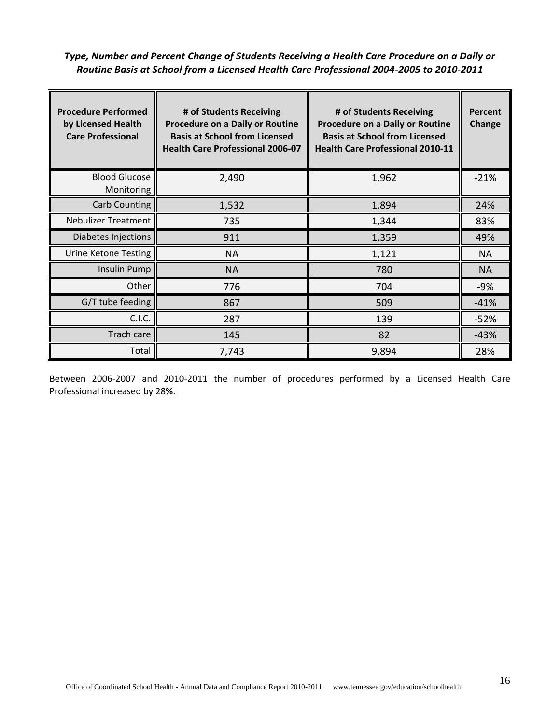# *Type, Number and Percent Change of Students Receiving a Health Care Procedure on a Daily or Routine Basis at School from a Licensed Health Care Professional 2004-2005 to 2010-2011*

| <b>Procedure Performed</b><br>by Licensed Health<br><b>Care Professional</b> | # of Students Receiving<br><b>Procedure on a Daily or Routine</b><br><b>Basis at School from Licensed</b><br><b>Health Care Professional 2006-07</b> | # of Students Receiving<br><b>Procedure on a Daily or Routine</b><br><b>Basis at School from Licensed</b><br><b>Health Care Professional 2010-11</b> | Percent<br>Change |
|------------------------------------------------------------------------------|------------------------------------------------------------------------------------------------------------------------------------------------------|------------------------------------------------------------------------------------------------------------------------------------------------------|-------------------|
| <b>Blood Glucose</b><br>Monitoring                                           | 2,490                                                                                                                                                | 1,962                                                                                                                                                | $-21%$            |
| Carb Counting                                                                | 1,532                                                                                                                                                | 1,894                                                                                                                                                | 24%               |
| <b>Nebulizer Treatment</b>                                                   | 735                                                                                                                                                  | 1,344                                                                                                                                                | 83%               |
| Diabetes Injections                                                          | 911                                                                                                                                                  | 1,359                                                                                                                                                | 49%               |
| Urine Ketone Testing                                                         | <b>NA</b>                                                                                                                                            | 1,121                                                                                                                                                | NA                |
| Insulin Pump                                                                 | <b>NA</b>                                                                                                                                            | 780                                                                                                                                                  | <b>NA</b>         |
| Other                                                                        | 776                                                                                                                                                  | 704                                                                                                                                                  | $-9%$             |
| G/T tube feeding                                                             | 867                                                                                                                                                  | 509                                                                                                                                                  | $-41%$            |
| C.I.C.                                                                       | 287                                                                                                                                                  | 139                                                                                                                                                  | $-52%$            |
| Trach care                                                                   | 145                                                                                                                                                  | 82                                                                                                                                                   | $-43%$            |
| Total                                                                        | 7,743                                                                                                                                                | 9,894                                                                                                                                                | 28%               |

Between 2006-2007 and 2010-2011 the number of procedures performed by a Licensed Health Care Professional increased by 28**%**.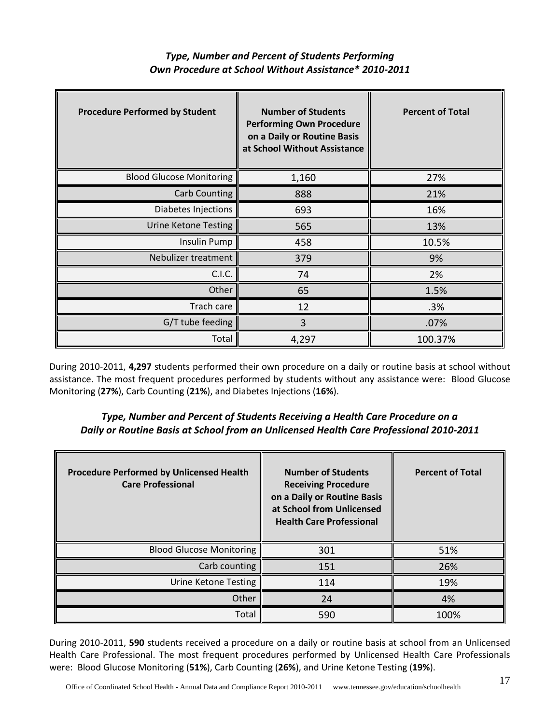| <b>Type, Number and Percent of Students Performing</b> |
|--------------------------------------------------------|
| Own Procedure at School Without Assistance* 2010-2011  |

| <b>Procedure Performed by Student</b> | <b>Number of Students</b><br><b>Performing Own Procedure</b><br>on a Daily or Routine Basis<br>at School Without Assistance | <b>Percent of Total</b> |
|---------------------------------------|-----------------------------------------------------------------------------------------------------------------------------|-------------------------|
| <b>Blood Glucose Monitoring</b>       | 1,160                                                                                                                       | 27%                     |
| <b>Carb Counting</b>                  | 888                                                                                                                         | 21%                     |
| Diabetes Injections                   | 693                                                                                                                         | 16%                     |
| <b>Urine Ketone Testing</b>           | 565                                                                                                                         | 13%                     |
| <b>Insulin Pump</b>                   | 458                                                                                                                         | 10.5%                   |
| Nebulizer treatment                   | 379                                                                                                                         | 9%                      |
| C.I.C.                                | 74                                                                                                                          | 2%                      |
| Other                                 | 65                                                                                                                          | 1.5%                    |
| Trach care                            | 12                                                                                                                          | .3%                     |
| G/T tube feeding                      | 3                                                                                                                           | .07%                    |
| Total                                 | 4,297                                                                                                                       | 100.37%                 |

During 2010-2011, **4,297** students performed their own procedure on a daily or routine basis at school without assistance. The most frequent procedures performed by students without any assistance were: Blood Glucose Monitoring (**27%**), Carb Counting (**21%**), and Diabetes Injections (**16%**).

# *Type, Number and Percent of Students Receiving a Health Care Procedure on a Daily or Routine Basis at School from an Unlicensed Health Care Professional 2010-2011*

| <b>Procedure Performed by Unlicensed Health</b><br><b>Care Professional</b> | <b>Number of Students</b><br><b>Receiving Procedure</b><br>on a Daily or Routine Basis<br>at School from Unlicensed<br><b>Health Care Professional</b> | <b>Percent of Total</b> |
|-----------------------------------------------------------------------------|--------------------------------------------------------------------------------------------------------------------------------------------------------|-------------------------|
| <b>Blood Glucose Monitoring</b>                                             | 301                                                                                                                                                    | 51%                     |
| Carb counting                                                               | 151                                                                                                                                                    | 26%                     |
| Urine Ketone Testing                                                        | 114                                                                                                                                                    | 19%                     |
| Other                                                                       | 24                                                                                                                                                     | 4%                      |
| Total                                                                       | 590                                                                                                                                                    | 100%                    |

During 2010-2011, **590** students received a procedure on a daily or routine basis at school from an Unlicensed Health Care Professional. The most frequent procedures performed by Unlicensed Health Care Professionals were: Blood Glucose Monitoring (**51%**), Carb Counting (**26%**), and Urine Ketone Testing (**19%**).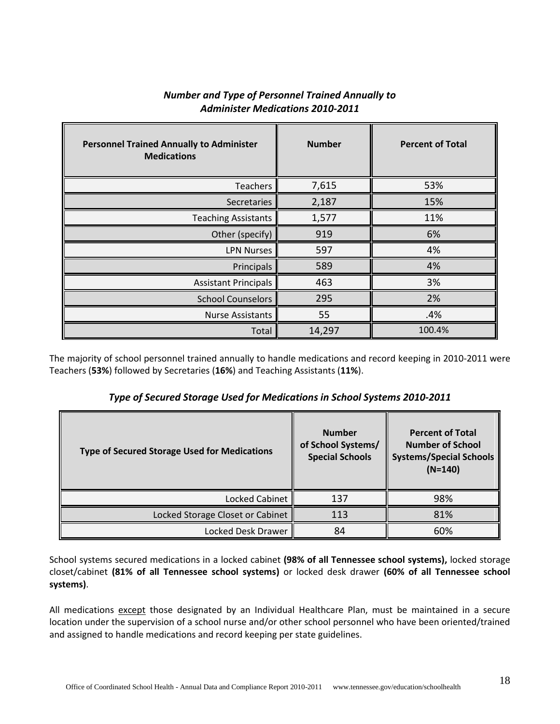| <b>Personnel Trained Annually to Administer</b><br><b>Medications</b> | <b>Number</b> | <b>Percent of Total</b> |
|-----------------------------------------------------------------------|---------------|-------------------------|
| <b>Teachers</b>                                                       | 7,615         | 53%                     |
| Secretaries                                                           | 2,187         | 15%                     |
| <b>Teaching Assistants</b>                                            | 1,577         | 11%                     |
| Other (specify)                                                       | 919           | 6%                      |
| <b>LPN Nurses</b>                                                     | 597           | 4%                      |
| Principals                                                            | 589           | 4%                      |
| <b>Assistant Principals</b>                                           | 463           | 3%                      |
| <b>School Counselors</b>                                              | 295           | 2%                      |
| <b>Nurse Assistants</b>                                               | 55            | .4%                     |
| Total                                                                 | 14,297        | 100.4%                  |

# *Number and Type of Personnel Trained Annually to Administer Medications 2010-2011*

The majority of school personnel trained annually to handle medications and record keeping in 2010-2011 were Teachers (**53%**) followed by Secretaries (**16%**) and Teaching Assistants (**11%**).

*Type of Secured Storage Used for Medications in School Systems 2010-2011*

| <b>Type of Secured Storage Used for Medications</b> | <b>Number</b><br>of School Systems/<br><b>Special Schools</b> | <b>Percent of Total</b><br><b>Number of School</b><br><b>Systems/Special Schools</b><br>$(N=140)$ |
|-----------------------------------------------------|---------------------------------------------------------------|---------------------------------------------------------------------------------------------------|
| Locked Cabinet                                      | 137                                                           | 98%                                                                                               |
| Locked Storage Closet or Cabinet                    | 113                                                           | 81%                                                                                               |
| Locked Desk Drawer                                  | 84                                                            | 60%                                                                                               |

School systems secured medications in a locked cabinet **(98% of all Tennessee school systems),** locked storage closet/cabinet **(81% of all Tennessee school systems)** or locked desk drawer **(60% of all Tennessee school systems)**.

All medications except those designated by an Individual Healthcare Plan, must be maintained in a secure location under the supervision of a school nurse and/or other school personnel who have been oriented/trained and assigned to handle medications and record keeping per state guidelines.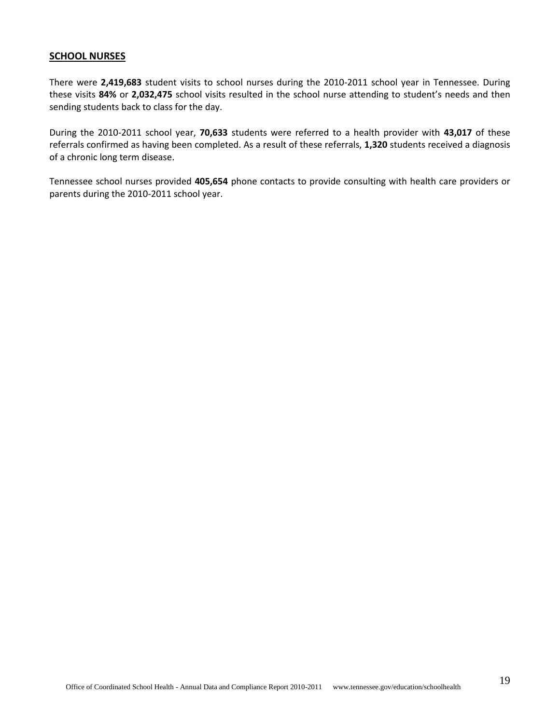#### **SCHOOL NURSES**

There were **2,419,683** student visits to school nurses during the 2010-2011 school year in Tennessee. During these visits **84%** or **2,032,475** school visits resulted in the school nurse attending to student's needs and then sending students back to class for the day.

During the 2010-2011 school year, **70,633** students were referred to a health provider with **43,017** of these referrals confirmed as having been completed. As a result of these referrals, **1,320** students received a diagnosis of a chronic long term disease.

Tennessee school nurses provided **405,654** phone contacts to provide consulting with health care providers or parents during the 2010-2011 school year.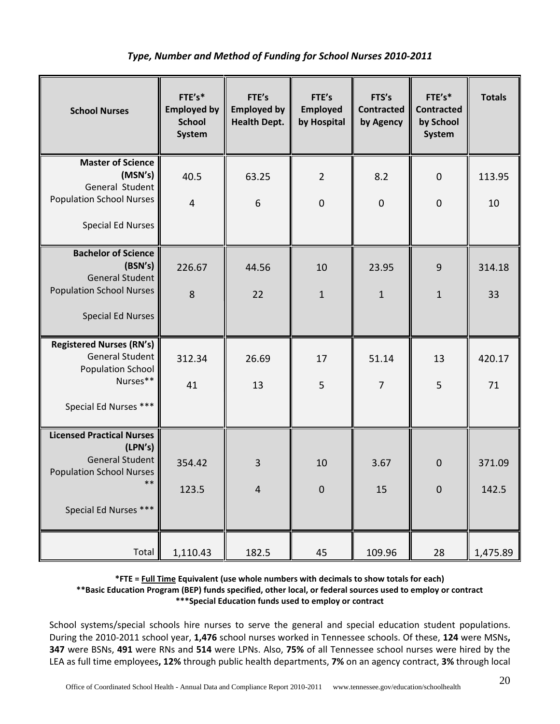# *Type, Number and Method of Funding for School Nurses 2010-2011*

| <b>School Nurses</b>                                                                      | FTE's*<br><b>Employed by</b><br><b>School</b><br>System | FTE's<br><b>Employed by</b><br><b>Health Dept.</b> | FTE's<br><b>Employed</b><br>by Hospital | FTS's<br><b>Contracted</b><br>by Agency | FTE's*<br><b>Contracted</b><br>by School<br>System | <b>Totals</b> |
|-------------------------------------------------------------------------------------------|---------------------------------------------------------|----------------------------------------------------|-----------------------------------------|-----------------------------------------|----------------------------------------------------|---------------|
| <b>Master of Science</b><br>(MSN's)<br>General Student<br><b>Population School Nurses</b> | 40.5                                                    | 63.25                                              | $\overline{2}$                          | 8.2                                     | $\mathbf 0$                                        | 113.95        |
| <b>Special Ed Nurses</b>                                                                  | $\overline{4}$                                          | 6                                                  | $\overline{0}$                          | $\overline{0}$                          | $\overline{0}$                                     | 10            |
| <b>Bachelor of Science</b><br>(BSN's)<br><b>General Student</b>                           | 226.67                                                  | 44.56                                              | 10                                      | 23.95                                   | 9                                                  | 314.18        |
| <b>Population School Nurses</b>                                                           | 8                                                       | 22                                                 | $\mathbf{1}$                            | $\mathbf{1}$                            | $\mathbf{1}$                                       | 33            |
| <b>Special Ed Nurses</b>                                                                  |                                                         |                                                    |                                         |                                         |                                                    |               |
| <b>Registered Nurses (RN's)</b><br><b>General Student</b><br><b>Population School</b>     | 312.34                                                  | 26.69                                              | 17                                      | 51.14                                   | 13                                                 | 420.17        |
| Nurses**                                                                                  | 41                                                      | 13                                                 | 5                                       | $\overline{7}$                          | 5                                                  | 71            |
| Special Ed Nurses ***                                                                     |                                                         |                                                    |                                         |                                         |                                                    |               |
| <b>Licensed Practical Nurses</b><br>(LPN's)                                               |                                                         |                                                    |                                         |                                         |                                                    |               |
| <b>General Student</b><br><b>Population School Nurses</b>                                 | 354.42                                                  | $\overline{3}$                                     | 10                                      | 3.67                                    | $\mathbf 0$                                        | 371.09        |
| $***$                                                                                     | 123.5                                                   | 4                                                  | $\boldsymbol{0}$                        | 15                                      | $\mathbf 0$                                        | 142.5         |
| Special Ed Nurses ***                                                                     |                                                         |                                                    |                                         |                                         |                                                    |               |
| Total                                                                                     | 1,110.43                                                | 182.5                                              | 45                                      | 109.96                                  | 28                                                 | 1,475.89      |

**\*FTE = Full Time Equivalent (use whole numbers with decimals to show totals for each) \*\*Basic Education Program (BEP) funds specified, other local, or federal sources used to employ or contract \*\*\*Special Education funds used to employ or contract**

School systems/special schools hire nurses to serve the general and special education student populations. During the 2010-2011 school year, **1,476** school nurses worked in Tennessee schools. Of these, **124** were MSNs**, 347** were BSNs, **491** were RNs and **514** were LPNs. Also, **75%** of all Tennessee school nurses were hired by the LEA as full time employees**, 12%** through public health departments, **7%** on an agency contract, **3%** through local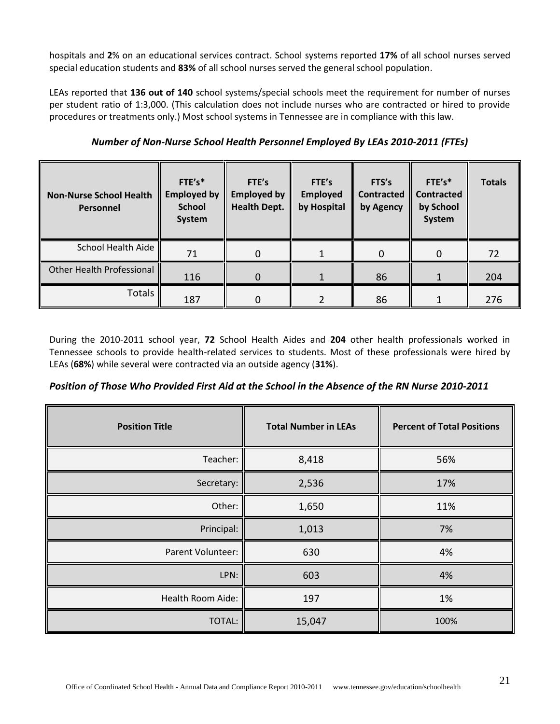hospitals and **2**% on an educational services contract. School systems reported **17%** of all school nurses served special education students and **83%** of all school nurses served the general school population.

LEAs reported that **136 out of 140** school systems/special schools meet the requirement for number of nurses per student ratio of 1:3,000. (This calculation does not include nurses who are contracted or hired to provide procedures or treatments only.) Most school systems in Tennessee are in compliance with this law.

| <b>Non-Nurse School Health</b><br>Personnel | FTE's*<br><b>Employed by</b><br><b>School</b><br>System | FTE's<br><b>Employed by</b><br><b>Health Dept.</b> | FTE's<br><b>Employed</b><br>by Hospital | FTS's<br><b>Contracted</b><br>by Agency | $FTE's*$<br><b>Contracted</b><br>by School<br>System | <b>Totals</b> |
|---------------------------------------------|---------------------------------------------------------|----------------------------------------------------|-----------------------------------------|-----------------------------------------|------------------------------------------------------|---------------|
| School Health Aide                          | 71                                                      |                                                    |                                         | 0                                       | 0                                                    | 72            |
| <b>Other Health Professional</b>            | 116                                                     |                                                    |                                         | 86                                      |                                                      | 204           |
| <b>Totals</b>                               | 187                                                     |                                                    |                                         | 86                                      |                                                      | 276           |

*Number of Non-Nurse School Health Personnel Employed By LEAs 2010-2011 (FTEs)*

During the 2010-2011 school year, **72** School Health Aides and **204** other health professionals worked in Tennessee schools to provide health-related services to students. Most of these professionals were hired by LEAs (**68%**) while several were contracted via an outside agency (**31%**).

|  | Position of Those Who Provided First Aid at the School in the Absence of the RN Nurse 2010-2011 |  |  |
|--|-------------------------------------------------------------------------------------------------|--|--|
|--|-------------------------------------------------------------------------------------------------|--|--|

| <b>Position Title</b> | <b>Total Number in LEAs</b> | <b>Percent of Total Positions</b> |
|-----------------------|-----------------------------|-----------------------------------|
| Teacher:              | 8,418                       | 56%                               |
| Secretary:            | 2,536                       | 17%                               |
| Other:                | 1,650                       | 11%                               |
| Principal:            | 1,013                       | 7%                                |
| Parent Volunteer:     | 630                         | 4%                                |
| LPN:                  | 603                         | 4%                                |
| Health Room Aide:     | 197                         | 1%                                |
| TOTAL:                | 15,047                      | 100%                              |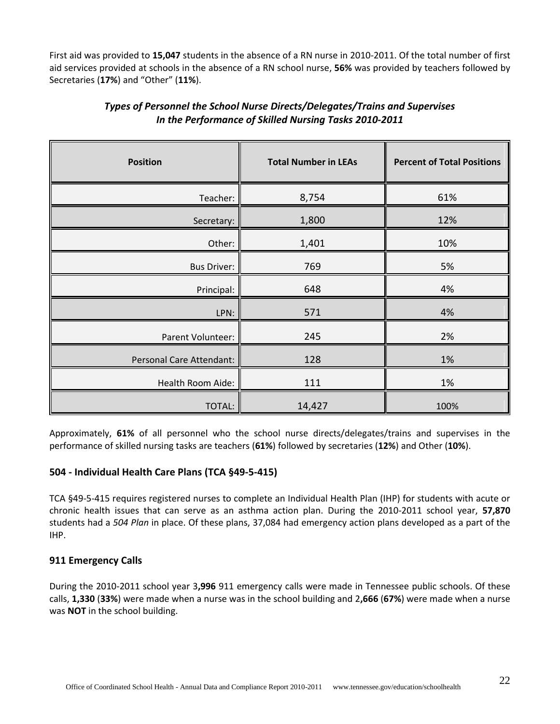First aid was provided to **15,047** students in the absence of a RN nurse in 2010-2011. Of the total number of first aid services provided at schools in the absence of a RN school nurse, **56%** was provided by teachers followed by Secretaries (**17%**) and "Other" (**11%**).

| <b>Position</b>          | <b>Total Number in LEAs</b> | <b>Percent of Total Positions</b> |
|--------------------------|-----------------------------|-----------------------------------|
| Teacher:                 | 8,754                       | 61%                               |
| Secretary:               | 1,800                       | 12%                               |
| Other:                   | 1,401                       | 10%                               |
| <b>Bus Driver:</b>       | 769                         | 5%                                |
| Principal:               | 648                         | 4%                                |
| LPN:                     | 571                         | 4%                                |
| Parent Volunteer:        | 245                         | 2%                                |
| Personal Care Attendant: | 128                         | 1%                                |
| Health Room Aide:        | 111                         | 1%                                |
| <b>TOTAL:</b>            | 14,427                      | 100%                              |

# *Types of Personnel the School Nurse Directs/Delegates/Trains and Supervises In the Performance of Skilled Nursing Tasks 2010-2011*

Approximately, **61%** of all personnel who the school nurse directs/delegates/trains and supervises in the performance of skilled nursing tasks are teachers (**61%**) followed by secretaries (**12%**) and Other (**10%**).

#### **504 - Individual Health Care Plans (TCA §49-5-415)**

TCA §49-5-415 requires registered nurses to complete an Individual Health Plan (IHP) for students with acute or chronic health issues that can serve as an asthma action plan. During the 2010-2011 school year, **57,870** students had a *504 Plan* in place. Of these plans, 37,084 had emergency action plans developed as a part of the IHP.

#### **911 Emergency Calls**

During the 2010-2011 school year 3**,996** 911 emergency calls were made in Tennessee public schools. Of these calls, **1,330** (**33%**) were made when a nurse was in the school building and 2**,666** (**67%**) were made when a nurse was **NOT** in the school building.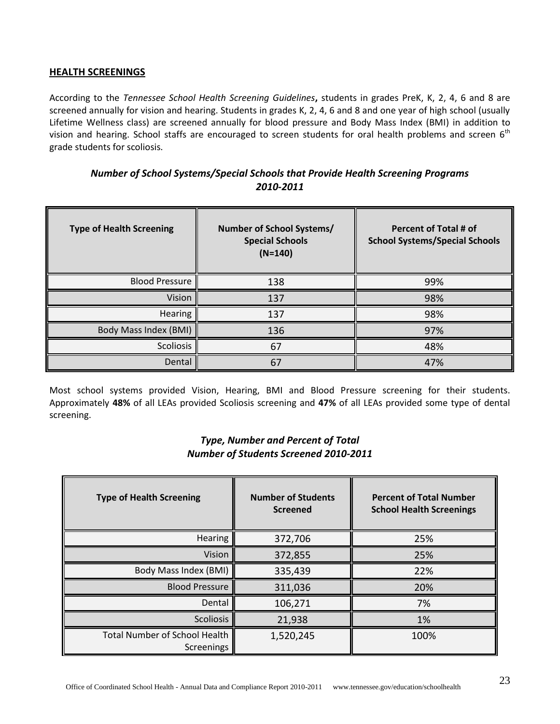#### **HEALTH SCREENINGS**

According to the *Tennessee School Health Screening Guidelines***,** students in grades PreK, K, 2, 4, 6 and 8 are screened annually for vision and hearing. Students in grades K, 2, 4, 6 and 8 and one year of high school (usually Lifetime Wellness class) are screened annually for blood pressure and Body Mass Index (BMI) in addition to vision and hearing. School staffs are encouraged to screen students for oral health problems and screen  $6<sup>th</sup>$ grade students for scoliosis.

| Number of School Systems/Special Schools that Provide Health Screening Programs |
|---------------------------------------------------------------------------------|
| 2010-2011                                                                       |

| <b>Type of Health Screening</b> | Number of School Systems/<br><b>Special Schools</b><br>$(N=140)$ | <b>Percent of Total # of</b><br><b>School Systems/Special Schools</b> |
|---------------------------------|------------------------------------------------------------------|-----------------------------------------------------------------------|
| <b>Blood Pressure</b>           | 138                                                              | 99%                                                                   |
| Vision                          | 137                                                              | 98%                                                                   |
| Hearing                         | 137                                                              | 98%                                                                   |
| Body Mass Index (BMI)           | 136                                                              | 97%                                                                   |
| Scoliosis                       | 67                                                               | 48%                                                                   |
| Dental                          | 67                                                               | 47%                                                                   |

Most school systems provided Vision, Hearing, BMI and Blood Pressure screening for their students. Approximately **48%** of all LEAs provided Scoliosis screening and **47%** of all LEAs provided some type of dental screening.

# *Type, Number and Percent of Total Number of Students Screened 2010-2011*

| <b>Type of Health Screening</b>                           | <b>Number of Students</b><br><b>Screened</b> | <b>Percent of Total Number</b><br><b>School Health Screenings</b> |
|-----------------------------------------------------------|----------------------------------------------|-------------------------------------------------------------------|
| <b>Hearing</b>                                            | 372,706                                      | 25%                                                               |
| Vision                                                    | 372,855                                      | 25%                                                               |
| Body Mass Index (BMI)                                     | 335,439                                      | 22%                                                               |
| <b>Blood Pressure</b>                                     | 311,036                                      | 20%                                                               |
| Dental                                                    | 106,271                                      | 7%                                                                |
| <b>Scoliosis</b>                                          | 21,938                                       | 1%                                                                |
| <b>Total Number of School Health</b><br><b>Screenings</b> | 1,520,245                                    | 100%                                                              |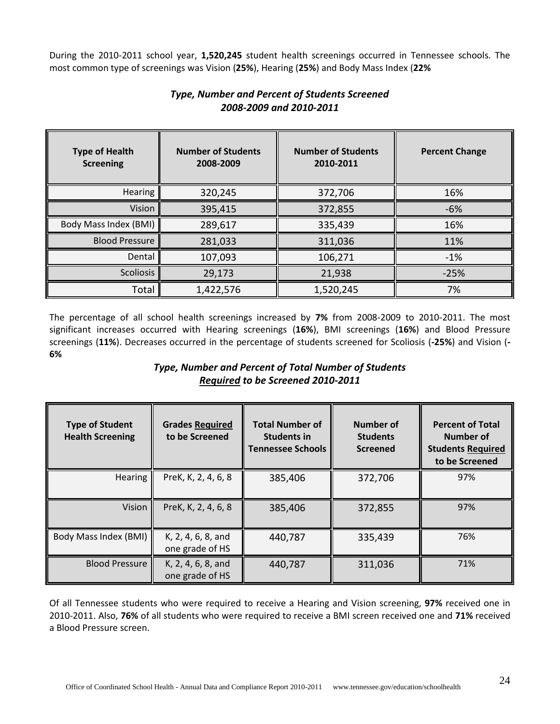During the 2010-2011 school year, **1,520,245** student health screenings occurred in Tennessee schools. The most common type of screenings was Vision (**25%**), Hearing (**25%**) and Body Mass Index (**22%**

| <b>Type of Health</b><br><b>Screening</b> | <b>Number of Students</b><br>2008-2009 | <b>Number of Students</b><br>2010-2011 | <b>Percent Change</b> |
|-------------------------------------------|----------------------------------------|----------------------------------------|-----------------------|
| <b>Hearing</b>                            | 320,245                                | 372,706                                | 16%                   |
| Vision                                    | 395,415                                | 372,855                                | $-6%$                 |
| Body Mass Index (BMI)                     | 289,617                                | 335,439                                | 16%                   |
| <b>Blood Pressure</b>                     | 281,033                                | 311,036                                | 11%                   |
| Dental                                    | 107,093                                | 106,271                                | $-1%$                 |
| <b>Scoliosis</b>                          | 29,173                                 | 21,938                                 | $-25%$                |
| Total                                     | 1,422,576                              | 1,520,245                              | 7%                    |

# *Type, Number and Percent of Students Screened 2008-2009 and 2010-2011*

The percentage of all school health screenings increased by **7%** from 2008-2009 to 2010-2011. The most significant increases occurred with Hearing screenings (**16%**), BMI screenings (**16%**) and Blood Pressure screenings (**11%**). Decreases occurred in the percentage of students screened for Scoliosis (**-25%**) and Vision (**- 6%**

# *Type, Number and Percent of Total Number of Students Required to be Screened 2010-2011*

| <b>Type of Student</b><br><b>Health Screening</b> | <b>Grades Required</b><br>to be Screened | <b>Total Number of</b><br><b>Students in</b><br><b>Tennessee Schools</b> | <b>Number of</b><br><b>Students</b><br><b>Screened</b> | <b>Percent of Total</b><br>Number of<br><b>Students Required</b><br>to be Screened |
|---------------------------------------------------|------------------------------------------|--------------------------------------------------------------------------|--------------------------------------------------------|------------------------------------------------------------------------------------|
| <b>Hearing</b>                                    | PreK, K, 2, 4, 6, 8                      | 385,406                                                                  | 372,706                                                | 97%                                                                                |
| Vision                                            | PreK, K, 2, 4, 6, 8                      | 385,406                                                                  | 372,855                                                | 97%                                                                                |
| Body Mass Index (BMI)                             | K, 2, 4, 6, 8, and<br>one grade of HS    | 440,787                                                                  | 335,439                                                | 76%                                                                                |
| <b>Blood Pressure</b>                             | K, 2, 4, 6, 8, and<br>one grade of HS    | 440,787                                                                  | 311,036                                                | 71%                                                                                |

Of all Tennessee students who were required to receive a Hearing and Vision screening, **97%** received one in 2010-2011. Also, **76%** of all students who were required to receive a BMI screen received one and **71%** received a Blood Pressure screen.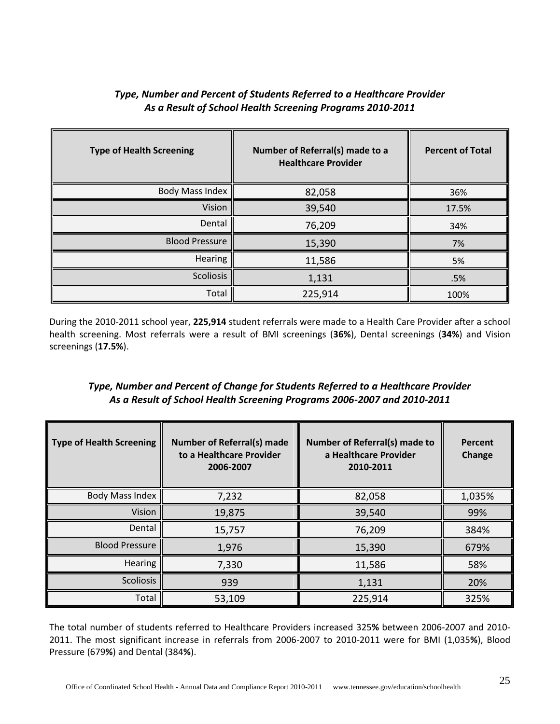| <b>Type of Health Screening</b> | Number of Referral(s) made to a<br><b>Healthcare Provider</b> | <b>Percent of Total</b> |
|---------------------------------|---------------------------------------------------------------|-------------------------|
| <b>Body Mass Index</b>          | 82,058                                                        | 36%                     |
| Vision                          | 39,540                                                        | 17.5%                   |
| Dental                          | 76,209                                                        | 34%                     |
| <b>Blood Pressure</b>           | 15,390                                                        | 7%                      |
| Hearing                         | 11,586                                                        | 5%                      |
| Scoliosis                       | 1,131                                                         | .5%                     |
| Total                           | 225,914                                                       | 100%                    |

# *Type, Number and Percent of Students Referred to a Healthcare Provider As a Result of School Health Screening Programs 2010-2011*

During the 2010-2011 school year, **225,914** student referrals were made to a Health Care Provider after a school health screening. Most referrals were a result of BMI screenings (**36%**), Dental screenings (**34%**) and Vision screenings (**17.5%**).

# *Type, Number and Percent of Change for Students Referred to a Healthcare Provider As a Result of School Health Screening Programs 2006-2007 and 2010-2011*

| <b>Type of Health Screening</b> | <b>Number of Referral(s) made</b><br>to a Healthcare Provider<br>2006-2007 | <b>Number of Referral(s) made to</b><br>a Healthcare Provider<br>2010-2011 | Percent<br>Change |
|---------------------------------|----------------------------------------------------------------------------|----------------------------------------------------------------------------|-------------------|
| <b>Body Mass Index</b>          | 7,232                                                                      | 82,058                                                                     | 1,035%            |
| Vision                          | 19,875                                                                     | 39,540                                                                     | 99%               |
| Dental                          | 15,757                                                                     | 76,209                                                                     | 384%              |
| <b>Blood Pressure</b>           | 1,976                                                                      | 15,390                                                                     | 679%              |
| Hearing                         | 7,330                                                                      | 11,586                                                                     | 58%               |
| <b>Scoliosis</b>                | 939                                                                        | 1,131                                                                      | 20%               |
| Total                           | 53,109                                                                     | 225,914                                                                    | 325%              |

The total number of students referred to Healthcare Providers increased 325**%** between 2006-2007 and 2010- 2011. The most significant increase in referrals from 2006-2007 to 2010-2011 were for BMI (1,035**%**), Blood Pressure (679**%**) and Dental (384**%**).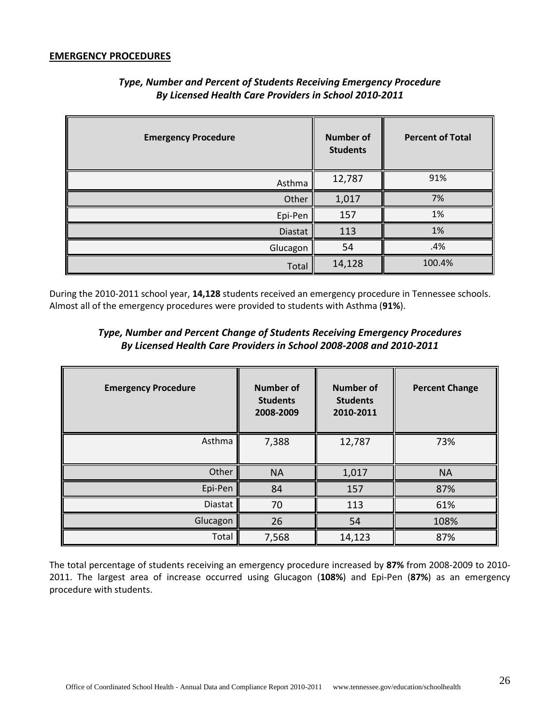#### **EMERGENCY PROCEDURES**

| <b>Emergency Procedure</b> | <b>Number of</b><br><b>Students</b> | <b>Percent of Total</b> |
|----------------------------|-------------------------------------|-------------------------|
| Asthma                     | 12,787                              | 91%                     |
| Other                      | 1,017                               | 7%                      |
| Epi-Pen                    | 157                                 | 1%                      |
| Diastat                    | 113                                 | 1%                      |
| Glucagon                   | 54                                  | .4%                     |
| Total                      | 14,128                              | 100.4%                  |

# *Type, Number and Percent of Students Receiving Emergency Procedure By Licensed Health Care Providers in School 2010-2011*

During the 2010-2011 school year, **14,128** students received an emergency procedure in Tennessee schools. Almost all of the emergency procedures were provided to students with Asthma (**91%**).

# *Type, Number and Percent Change of Students Receiving Emergency Procedures By Licensed Health Care Providers in School 2008-2008 and 2010-2011*

| <b>Emergency Procedure</b> | <b>Number of</b><br><b>Students</b><br>2008-2009 | <b>Number of</b><br><b>Students</b><br>2010-2011 | <b>Percent Change</b> |
|----------------------------|--------------------------------------------------|--------------------------------------------------|-----------------------|
| Asthma                     | 7,388                                            | 12,787                                           | 73%                   |
| Other                      | <b>NA</b>                                        | 1,017                                            | <b>NA</b>             |
| Epi-Pen                    | 84                                               | 157                                              | 87%                   |
| Diastat                    | 70                                               | 113                                              | 61%                   |
| Glucagon                   | 26                                               | 54                                               | 108%                  |
| Total                      | 7,568                                            | 14,123                                           | 87%                   |

The total percentage of students receiving an emergency procedure increased by **87%** from 2008-2009 to 2010- 2011. The largest area of increase occurred using Glucagon (**108%**) and Epi-Pen (**87%**) as an emergency procedure with students.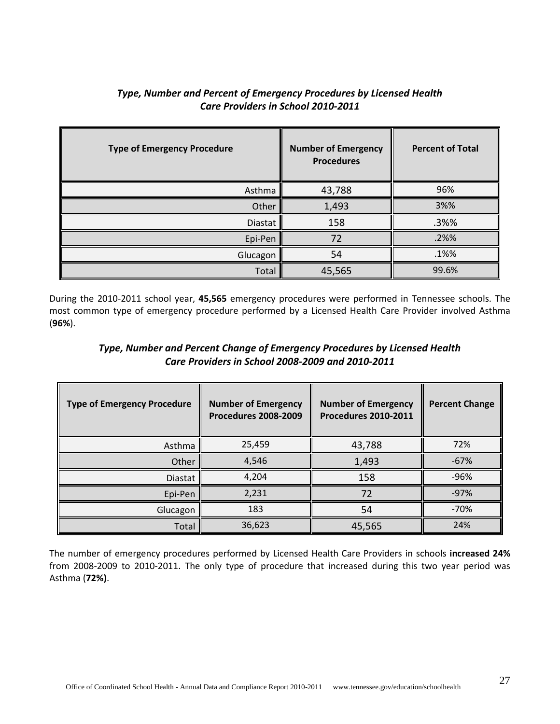| <b>Type of Emergency Procedure</b> | <b>Number of Emergency</b><br><b>Procedures</b> | <b>Percent of Total</b> |
|------------------------------------|-------------------------------------------------|-------------------------|
| Asthma                             | 43,788                                          | 96%                     |
| Other                              | 1,493                                           | 3%%                     |
| <b>Diastat</b>                     | 158                                             | .3%%                    |
| Epi-Pen                            | 72                                              | .2%%                    |
| Glucagon                           | 54                                              | .1%%                    |
| Total                              | 45,565                                          | 99.6%                   |

# *Type, Number and Percent of Emergency Procedures by Licensed Health Care Providers in School 2010-2011*

During the 2010-2011 school year, **45,565** emergency procedures were performed in Tennessee schools. The most common type of emergency procedure performed by a Licensed Health Care Provider involved Asthma (**96%**).

# *Type, Number and Percent Change of Emergency Procedures by Licensed Health Care Providers in School 2008-2009 and 2010-2011*

| <b>Type of Emergency Procedure</b> | <b>Number of Emergency</b><br><b>Procedures 2008-2009</b> | <b>Number of Emergency</b><br><b>Procedures 2010-2011</b> | <b>Percent Change</b> |
|------------------------------------|-----------------------------------------------------------|-----------------------------------------------------------|-----------------------|
| Asthma                             | 25,459                                                    | 43,788                                                    | 72%                   |
| Other                              | 4,546                                                     | 1,493                                                     | $-67%$                |
| Diastat                            | 4,204                                                     | 158                                                       | $-96%$                |
| Epi-Pen                            | 2,231                                                     | 72                                                        | $-97%$                |
| Glucagon                           | 183                                                       | 54                                                        | $-70%$                |
| Total                              | 36,623                                                    | 45,565                                                    | 24%                   |

The number of emergency procedures performed by Licensed Health Care Providers in schools **increased 24%** from 2008-2009 to 2010-2011. The only type of procedure that increased during this two year period was Asthma (**72%)**.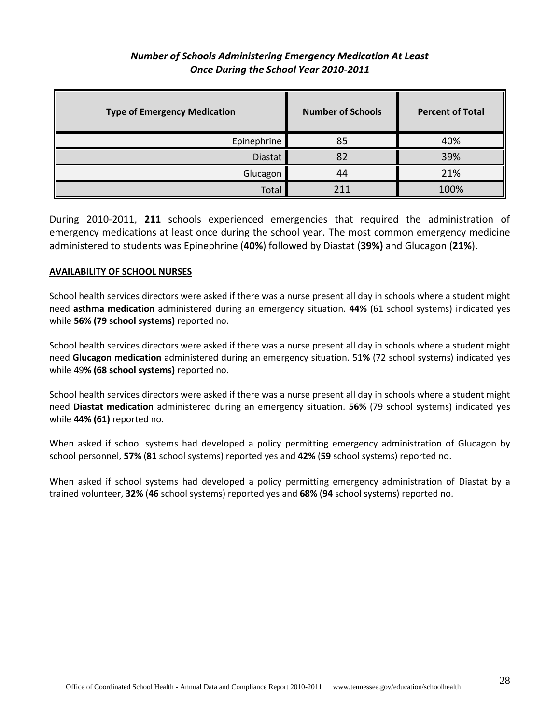# *Number of Schools Administering Emergency Medication At Least Once During the School Year 2010-2011*

| <b>Type of Emergency Medication</b> | <b>Number of Schools</b> | <b>Percent of Total</b> |
|-------------------------------------|--------------------------|-------------------------|
| Epinephrine                         | 85                       | 40%                     |
| <b>Diastat</b>                      | 82                       | 39%                     |
| Glucagon                            | 44                       | 21%                     |
| Total                               | 211                      | 100%                    |

During 2010-2011, **211** schools experienced emergencies that required the administration of emergency medications at least once during the school year. The most common emergency medicine administered to students was Epinephrine (**40%**) followed by Diastat (**39%)** and Glucagon (**21%**).

#### **AVAILABILITY OF SCHOOL NURSES**

School health services directors were asked if there was a nurse present all day in schools where a student might need **asthma medication** administered during an emergency situation. **44%** (61 school systems) indicated yes while **56% (79 school systems)** reported no.

School health services directors were asked if there was a nurse present all day in schools where a student might need **Glucagon medication** administered during an emergency situation. 51**%** (72 school systems) indicated yes while 49**% (68 school systems)** reported no.

School health services directors were asked if there was a nurse present all day in schools where a student might need **Diastat medication** administered during an emergency situation. **56%** (79 school systems) indicated yes while **44% (61)** reported no.

When asked if school systems had developed a policy permitting emergency administration of Glucagon by school personnel, **57%** (**81** school systems) reported yes and **42%** (**59** school systems) reported no.

When asked if school systems had developed a policy permitting emergency administration of Diastat by a trained volunteer, **32%** (**46** school systems) reported yes and **68%** (**94** school systems) reported no.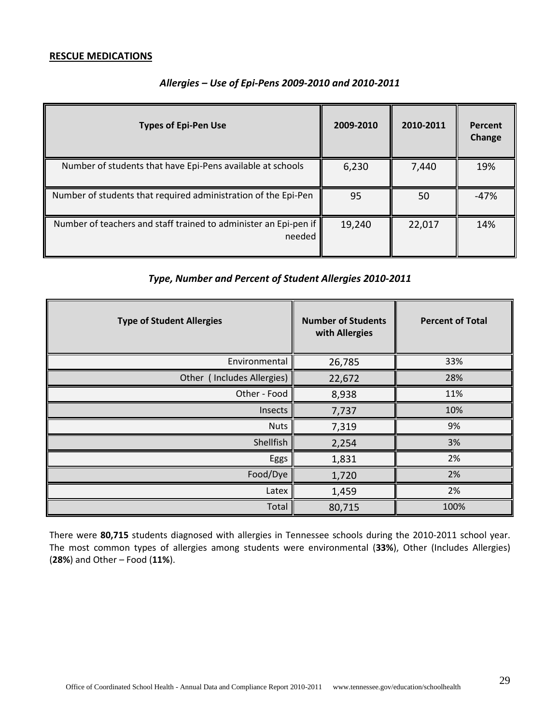#### **RESCUE MEDICATIONS**

| <b>Types of Epi-Pen Use</b>                                                | 2009-2010 | 2010-2011 | Percent<br>Change |
|----------------------------------------------------------------------------|-----------|-----------|-------------------|
| Number of students that have Epi-Pens available at schools                 | 6,230     | 7,440     | 19%               |
| Number of students that required administration of the Epi-Pen             | 95        | 50        | -47%              |
| Number of teachers and staff trained to administer an Epi-pen if<br>needed | 19,240    | 22,017    | 14%               |

#### *Allergies – Use of Epi-Pens 2009-2010 and 2010-2011*

# *Type, Number and Percent of Student Allergies 2010-2011*

| <b>Type of Student Allergies</b> | <b>Number of Students</b><br>with Allergies | <b>Percent of Total</b> |
|----------------------------------|---------------------------------------------|-------------------------|
| Environmental                    | 26,785                                      | 33%                     |
| Other (Includes Allergies)       | 22,672                                      | 28%                     |
| Other - Food                     | 8,938                                       | 11%                     |
| Insects                          | 7,737                                       | 10%                     |
| <b>Nuts</b>                      | 7,319                                       | 9%                      |
| Shellfish                        | 2,254                                       | 3%                      |
| Eggs                             | 1,831                                       | 2%                      |
| Food/Dye                         | 1,720                                       | 2%                      |
| Latex                            | 1,459                                       | 2%                      |
| Total                            | 80,715                                      | 100%                    |

There were **80,715** students diagnosed with allergies in Tennessee schools during the 2010-2011 school year. The most common types of allergies among students were environmental (**33%**), Other (Includes Allergies) (**28%**) and Other – Food (**11%**).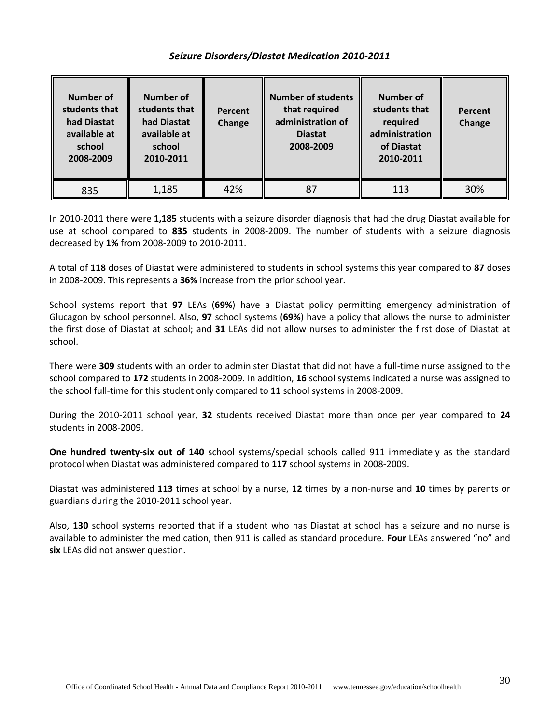### *Seizure Disorders/Diastat Medication 2010-2011*

| Number of<br>students that<br>had Diastat<br>available at<br>school<br>2008-2009 | Number of<br>students that<br>had Diastat<br>available at<br>school<br>2010-2011 | Percent<br>Change | <b>Number of students</b><br>that required<br>administration of<br><b>Diastat</b><br>2008-2009 | Number of<br>students that<br>required<br>administration<br>of Diastat<br>2010-2011 | Percent<br>Change |
|----------------------------------------------------------------------------------|----------------------------------------------------------------------------------|-------------------|------------------------------------------------------------------------------------------------|-------------------------------------------------------------------------------------|-------------------|
| 835                                                                              | 1,185                                                                            | 42%               | 87                                                                                             | 113                                                                                 | 30%               |

In 2010-2011 there were **1,185** students with a seizure disorder diagnosis that had the drug Diastat available for use at school compared to **835** students in 2008-2009. The number of students with a seizure diagnosis decreased by **1%** from 2008-2009 to 2010-2011.

A total of **118** doses of Diastat were administered to students in school systems this year compared to **87** doses in 2008-2009. This represents a **36%** increase from the prior school year.

School systems report that **97** LEAs (**69%**) have a Diastat policy permitting emergency administration of Glucagon by school personnel. Also, **97** school systems (**69%**) have a policy that allows the nurse to administer the first dose of Diastat at school; and **31** LEAs did not allow nurses to administer the first dose of Diastat at school.

There were **309** students with an order to administer Diastat that did not have a full-time nurse assigned to the school compared to **172** students in 2008-2009. In addition, **16** school systems indicated a nurse was assigned to the school full-time for this student only compared to **11** school systems in 2008-2009.

During the 2010-2011 school year, **32** students received Diastat more than once per year compared to **24** students in 2008-2009.

**One hundred twenty-six out of 140** school systems/special schools called 911 immediately as the standard protocol when Diastat was administered compared to **117** school systems in 2008-2009.

Diastat was administered **113** times at school by a nurse, **12** times by a non-nurse and **10** times by parents or guardians during the 2010-2011 school year.

Also, **130** school systems reported that if a student who has Diastat at school has a seizure and no nurse is available to administer the medication, then 911 is called as standard procedure. **Four** LEAs answered "no" and **six** LEAs did not answer question.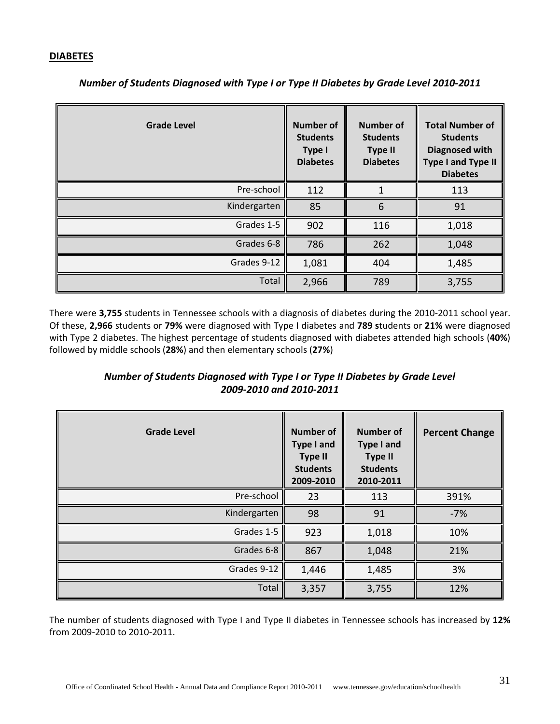#### **DIABETES**

| <b>Grade Level</b> | <b>Number of</b><br><b>Students</b><br>Type I<br><b>Diabetes</b> | <b>Number of</b><br><b>Students</b><br><b>Type II</b><br><b>Diabetes</b> | <b>Total Number of</b><br><b>Students</b><br><b>Diagnosed with</b><br><b>Type I and Type II</b><br><b>Diabetes</b> |
|--------------------|------------------------------------------------------------------|--------------------------------------------------------------------------|--------------------------------------------------------------------------------------------------------------------|
| Pre-school         | 112                                                              |                                                                          | 113                                                                                                                |
| Kindergarten       | 85                                                               | 6                                                                        | 91                                                                                                                 |
| Grades 1-5         | 902                                                              | 116                                                                      | 1,018                                                                                                              |
| Grades 6-8         | 786                                                              | 262                                                                      | 1,048                                                                                                              |
| Grades 9-12        | 1,081                                                            | 404                                                                      | 1,485                                                                                                              |
| Total              | 2,966                                                            | 789                                                                      | 3,755                                                                                                              |

*Number of Students Diagnosed with Type I or Type II Diabetes by Grade Level 2010-2011*

There were **3,755** students in Tennessee schools with a diagnosis of diabetes during the 2010-2011 school year. Of these, **2,966** students or **79%** were diagnosed with Type I diabetes and **789 s**tudents or **21%** were diagnosed with Type 2 diabetes. The highest percentage of students diagnosed with diabetes attended high schools (**40%**) followed by middle schools (**28%**) and then elementary schools (**27%**)

# *Number of Students Diagnosed with Type I or Type II Diabetes by Grade Level 2009-2010 and 2010-2011*

| <b>Grade Level</b> | <b>Number of</b><br><b>Type I and</b><br><b>Type II</b><br><b>Students</b><br>2009-2010 | <b>Number of</b><br><b>Type I and</b><br><b>Type II</b><br><b>Students</b><br>2010-2011 | <b>Percent Change</b> |
|--------------------|-----------------------------------------------------------------------------------------|-----------------------------------------------------------------------------------------|-----------------------|
| Pre-school         | 23                                                                                      | 113                                                                                     | 391%                  |
| Kindergarten       | 98                                                                                      | 91                                                                                      | $-7%$                 |
| Grades 1-5         | 923                                                                                     | 1,018                                                                                   | 10%                   |
| Grades 6-8         | 867                                                                                     | 1,048                                                                                   | 21%                   |
| Grades 9-12        | 1,446                                                                                   | 1,485                                                                                   | 3%                    |
| Total              | 3,357                                                                                   | 3,755                                                                                   | 12%                   |

The number of students diagnosed with Type I and Type II diabetes in Tennessee schools has increased by **12%** from 2009-2010 to 2010-2011.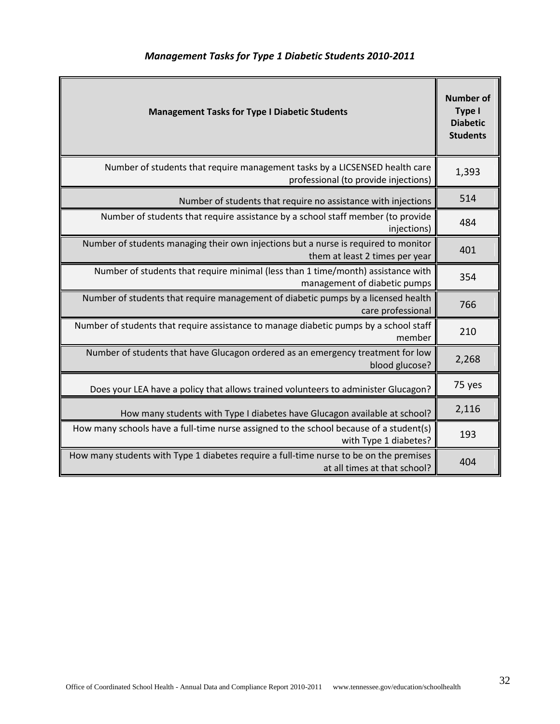| <b>Management Tasks for Type I Diabetic Students</b>                                                                   |        |  |
|------------------------------------------------------------------------------------------------------------------------|--------|--|
| Number of students that require management tasks by a LICSENSED health care<br>professional (to provide injections)    | 1,393  |  |
| Number of students that require no assistance with injections                                                          | 514    |  |
| Number of students that require assistance by a school staff member (to provide<br>injections)                         | 484    |  |
| Number of students managing their own injections but a nurse is required to monitor<br>them at least 2 times per year  | 401    |  |
| Number of students that require minimal (less than 1 time/month) assistance with<br>management of diabetic pumps       | 354    |  |
| Number of students that require management of diabetic pumps by a licensed health<br>care professional                 | 766    |  |
| Number of students that require assistance to manage diabetic pumps by a school staff<br>member                        | 210    |  |
| Number of students that have Glucagon ordered as an emergency treatment for low<br>blood glucose?                      | 2,268  |  |
| Does your LEA have a policy that allows trained volunteers to administer Glucagon?                                     | 75 yes |  |
| How many students with Type I diabetes have Glucagon available at school?                                              | 2,116  |  |
| How many schools have a full-time nurse assigned to the school because of a student(s)<br>with Type 1 diabetes?        | 193    |  |
| How many students with Type 1 diabetes require a full-time nurse to be on the premises<br>at all times at that school? | 404    |  |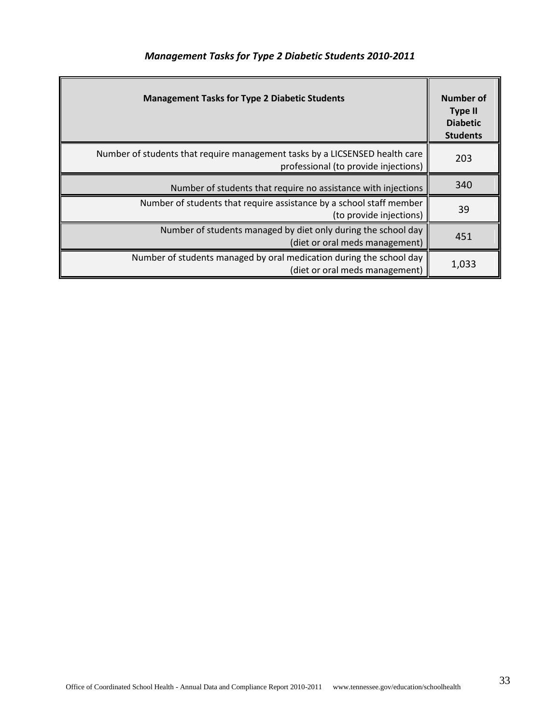| <b>Management Tasks for Type 2 Diabetic Students 2010-2011</b> |  |  |  |  |  |  |
|----------------------------------------------------------------|--|--|--|--|--|--|
|----------------------------------------------------------------|--|--|--|--|--|--|

| <b>Management Tasks for Type 2 Diabetic Students</b>                                                                | Number of<br><b>Type II</b><br><b>Diabetic</b><br><b>Students</b> |
|---------------------------------------------------------------------------------------------------------------------|-------------------------------------------------------------------|
| Number of students that require management tasks by a LICSENSED health care<br>professional (to provide injections) | 203                                                               |
| Number of students that require no assistance with injections                                                       | 340                                                               |
| Number of students that require assistance by a school staff member<br>(to provide injections)                      | 39                                                                |
| Number of students managed by diet only during the school day<br>(diet or oral meds management)                     | 451                                                               |
| Number of students managed by oral medication during the school day<br>(diet or oral meds management)               | 1,033                                                             |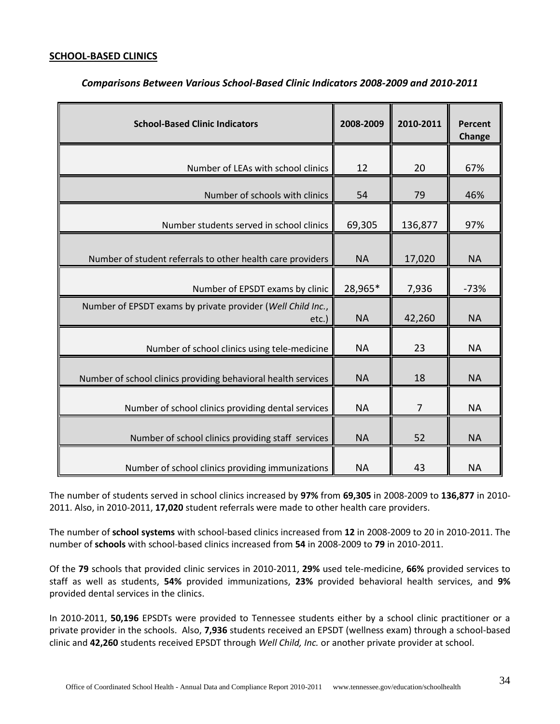#### **SCHOOL-BASED CLINICS**

| <b>School-Based Clinic Indicators</b>                                   | 2008-2009 | 2010-2011      | Percent<br>Change |
|-------------------------------------------------------------------------|-----------|----------------|-------------------|
|                                                                         |           |                |                   |
| Number of LEAs with school clinics                                      | 12        | 20             | 67%               |
| Number of schools with clinics                                          | 54        | 79             | 46%               |
| Number students served in school clinics                                | 69,305    | 136,877        | 97%               |
| Number of student referrals to other health care providers              | <b>NA</b> | 17,020         | <b>NA</b>         |
| Number of EPSDT exams by clinic                                         | 28,965*   | 7,936          | $-73%$            |
| Number of EPSDT exams by private provider (Well Child Inc.,<br>$etc.$ ) | <b>NA</b> | 42,260         | <b>NA</b>         |
| Number of school clinics using tele-medicine                            | <b>NA</b> | 23             | <b>NA</b>         |
| Number of school clinics providing behavioral health services           | <b>NA</b> | 18             | <b>NA</b>         |
| Number of school clinics providing dental services                      | <b>NA</b> | $\overline{7}$ | <b>NA</b>         |
| Number of school clinics providing staff services                       | <b>NA</b> | 52             | <b>NA</b>         |
| Number of school clinics providing immunizations                        | <b>NA</b> | 43             | <b>NA</b>         |

#### *Comparisons Between Various School-Based Clinic Indicators 2008-2009 and 2010-2011*

The number of students served in school clinics increased by **97%** from **69,305** in 2008-2009 to **136,877** in 2010- 2011. Also, in 2010-2011, **17,020** student referrals were made to other health care providers.

The number of **school systems** with school-based clinics increased from **12** in 2008-2009 to 20 in 2010-2011. The number of **schools** with school-based clinics increased from **54** in 2008-2009 to **79** in 2010-2011.

Of the **79** schools that provided clinic services in 2010-2011, **29%** used tele-medicine, **66%** provided services to staff as well as students, **54%** provided immunizations, **23%** provided behavioral health services, and **9%** provided dental services in the clinics.

In 2010-2011, **50,196** EPSDTs were provided to Tennessee students either by a school clinic practitioner or a private provider in the schools. Also, **7,936** students received an EPSDT (wellness exam) through a school-based clinic and **42,260** students received EPSDT through *Well Child, Inc.* or another private provider at school.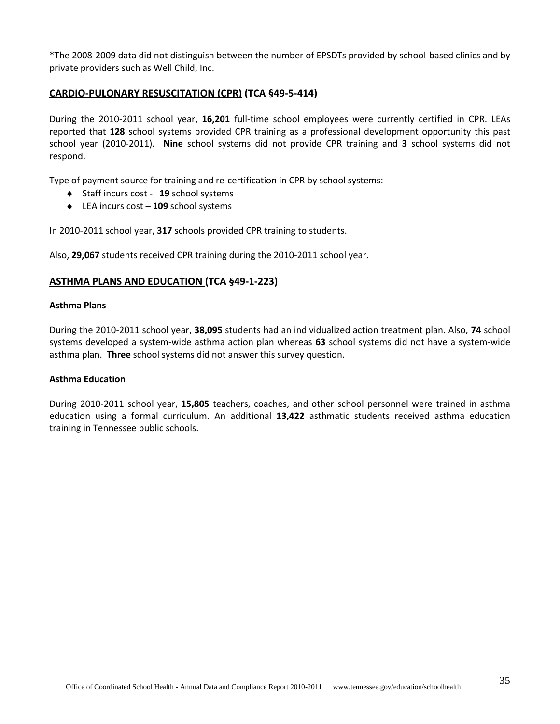\*The 2008-2009 data did not distinguish between the number of EPSDTs provided by school-based clinics and by private providers such as Well Child, Inc.

#### **CARDIO-PULONARY RESUSCITATION (CPR) (TCA §49-5-414)**

During the 2010-2011 school year, **16,201** full-time school employees were currently certified in CPR. LEAs reported that **128** school systems provided CPR training as a professional development opportunity this past school year (2010-2011). **Nine** school systems did not provide CPR training and **3** school systems did not respond.

Type of payment source for training and re-certification in CPR by school systems:

- Staff incurs cost **19** school systems
- LEA incurs cost **109** school systems

In 2010-2011 school year, **317** schools provided CPR training to students.

Also, **29,067** students received CPR training during the 2010-2011 school year.

#### **ASTHMA PLANS AND EDUCATION (TCA §49-1-223)**

#### **Asthma Plans**

During the 2010-2011 school year, **38,095** students had an individualized action treatment plan. Also, **74** school systems developed a system-wide asthma action plan whereas **63** school systems did not have a system-wide asthma plan. **Three** school systems did not answer this survey question.

#### **Asthma Education**

During 2010-2011 school year, **15,805** teachers, coaches, and other school personnel were trained in asthma education using a formal curriculum. An additional **13,422** asthmatic students received asthma education training in Tennessee public schools.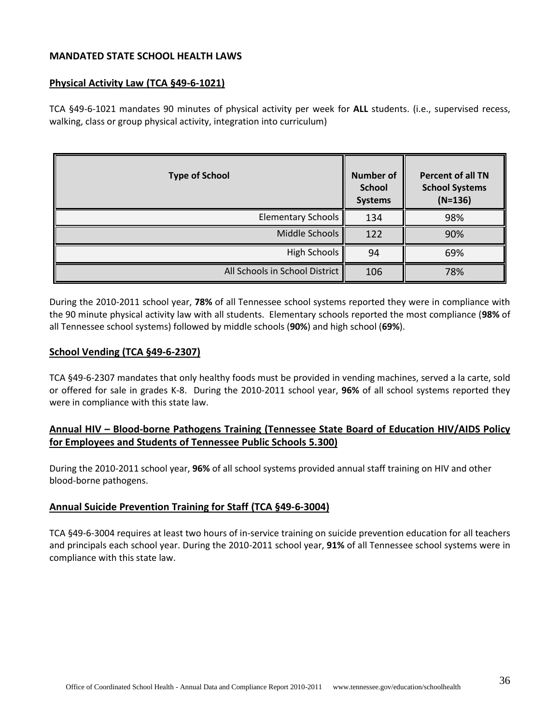#### **MANDATED STATE SCHOOL HEALTH LAWS**

#### **Physical Activity Law (TCA §49-6-1021)**

TCA §49-6-1021 mandates 90 minutes of physical activity per week for **ALL** students. (i.e., supervised recess, walking, class or group physical activity, integration into curriculum)

| <b>Type of School</b>          | Number of<br><b>School</b><br><b>Systems</b> | <b>Percent of all TN</b><br><b>School Systems</b><br>$(N=136)$ |
|--------------------------------|----------------------------------------------|----------------------------------------------------------------|
| <b>Elementary Schools</b>      | 134                                          | 98%                                                            |
| Middle Schools                 | 122                                          | 90%                                                            |
| <b>High Schools</b>            | 94                                           | 69%                                                            |
| All Schools in School District | 106                                          | 78%                                                            |

During the 2010-2011 school year, **78%** of all Tennessee school systems reported they were in compliance with the 90 minute physical activity law with all students. Elementary schools reported the most compliance (**98%** of all Tennessee school systems) followed by middle schools (**90%**) and high school (**69%**).

#### **School Vending (TCA §49-6-2307)**

TCA §49-6-2307 mandates that only healthy foods must be provided in vending machines, served a la carte, sold or offered for sale in grades K-8. During the 2010-2011 school year, **96%** of all school systems reported they were in compliance with this state law.

# **Annual HIV – Blood-borne Pathogens Training (Tennessee State Board of Education HIV/AIDS Policy for Employees and Students of Tennessee Public Schools 5.300)**

During the 2010-2011 school year, **96%** of all school systems provided annual staff training on HIV and other blood-borne pathogens.

#### **Annual Suicide Prevention Training for Staff (TCA §49-6-3004)**

TCA §49-6-3004 requires at least two hours of in-service training on suicide prevention education for all teachers and principals each school year. During the 2010-2011 school year, **91%** of all Tennessee school systems were in compliance with this state law.